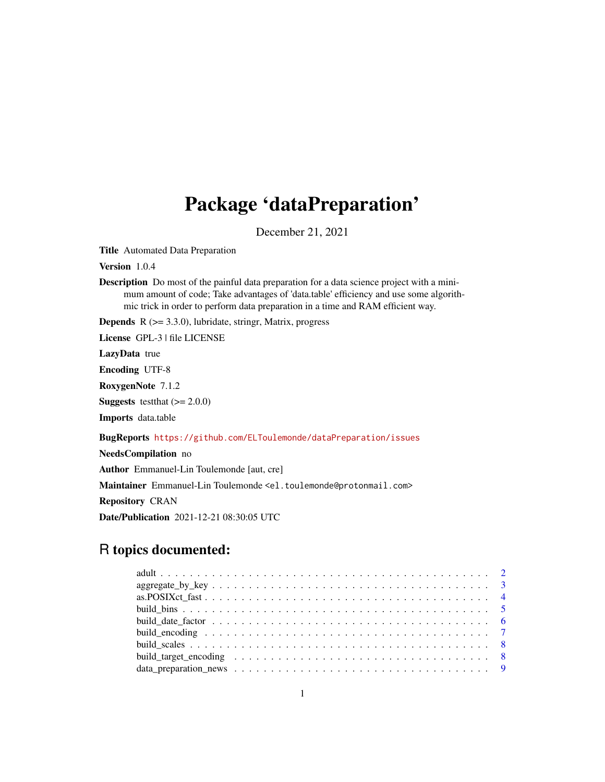# Package 'dataPreparation'

December 21, 2021

<span id="page-0-0"></span>Title Automated Data Preparation

Version 1.0.4

Description Do most of the painful data preparation for a data science project with a minimum amount of code; Take advantages of 'data.table' efficiency and use some algorithmic trick in order to perform data preparation in a time and RAM efficient way.

**Depends**  $R$  ( $>= 3.3.0$ ), lubridate, stringr, Matrix, progress

License GPL-3 | file LICENSE

LazyData true

Encoding UTF-8

RoxygenNote 7.1.2

**Suggests** testthat  $(>= 2.0.0)$ 

Imports data.table

# BugReports <https://github.com/ELToulemonde/dataPreparation/issues>

NeedsCompilation no

Author Emmanuel-Lin Toulemonde [aut, cre]

Maintainer Emmanuel-Lin Toulemonde <el.toulemonde@protonmail.com>

Repository CRAN

Date/Publication 2021-12-21 08:30:05 UTC

# R topics documented: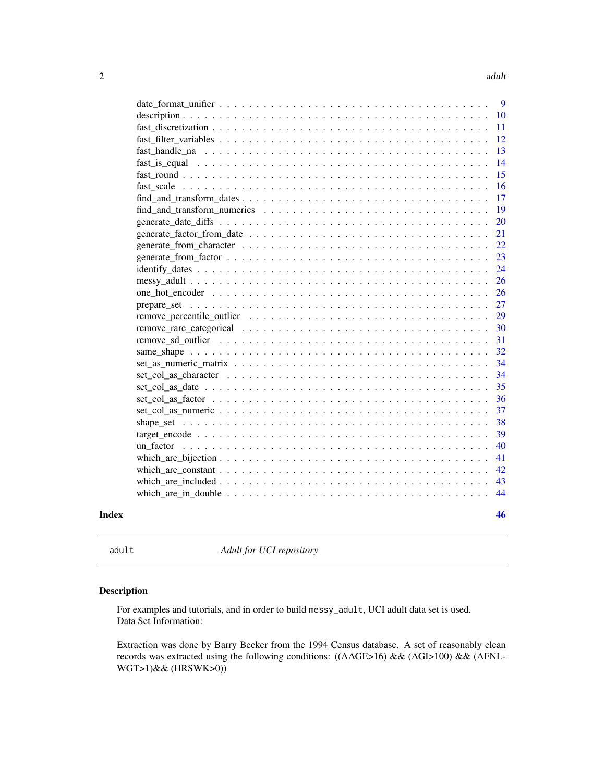<span id="page-1-0"></span>

|       |                                                                                                                   | 9  |
|-------|-------------------------------------------------------------------------------------------------------------------|----|
|       |                                                                                                                   | 10 |
|       |                                                                                                                   | 11 |
|       |                                                                                                                   | 12 |
|       |                                                                                                                   | 13 |
|       |                                                                                                                   | 14 |
|       |                                                                                                                   | 15 |
|       |                                                                                                                   | 16 |
|       | $find\_and\_transform\_dates \dots \dots \dots \dots \dots \dots \dots \dots \dots \dots \dots \dots \dots \dots$ | 17 |
|       |                                                                                                                   | 19 |
|       |                                                                                                                   | 20 |
|       |                                                                                                                   | 21 |
|       |                                                                                                                   | 22 |
|       |                                                                                                                   | 23 |
|       | $identity\_dates \dots \dots \dots \dots \dots \dots \dots \dots \dots \dots \dots \dots \dots \dots \dots$       | 24 |
|       |                                                                                                                   | 26 |
|       |                                                                                                                   | 26 |
|       |                                                                                                                   | 27 |
|       |                                                                                                                   | 29 |
|       |                                                                                                                   | 30 |
|       |                                                                                                                   | 31 |
|       |                                                                                                                   | 32 |
|       |                                                                                                                   | 34 |
|       |                                                                                                                   | 34 |
|       |                                                                                                                   | 35 |
|       |                                                                                                                   | 36 |
|       |                                                                                                                   | 37 |
|       |                                                                                                                   | 38 |
|       |                                                                                                                   | 39 |
|       |                                                                                                                   | 40 |
|       |                                                                                                                   | 41 |
|       |                                                                                                                   | 42 |
|       |                                                                                                                   | 43 |
|       |                                                                                                                   | 44 |
| Index |                                                                                                                   | 46 |
|       |                                                                                                                   |    |

adult *Adult for UCI repository*

# Description

For examples and tutorials, and in order to build messy\_adult, UCI adult data set is used. Data Set Information:

Extraction was done by Barry Becker from the 1994 Census database. A set of reasonably clean records was extracted using the following conditions: ((AAGE>16) && (AGI>100) && (AFNL-WGT>1)&& (HRSWK>0))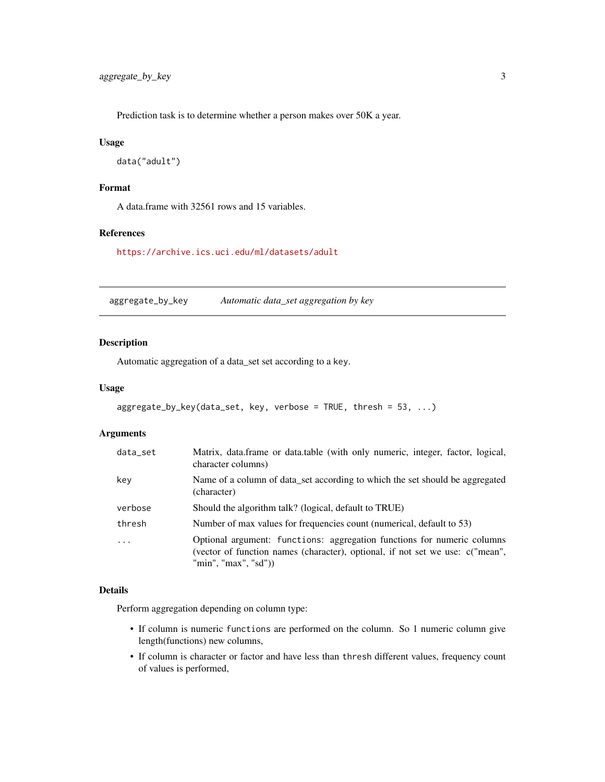<span id="page-2-0"></span>Prediction task is to determine whether a person makes over 50K a year.

#### Usage

```
data("adult")
```
#### Format

A data.frame with 32561 rows and 15 variables.

# References

<https://archive.ics.uci.edu/ml/datasets/adult>

<span id="page-2-1"></span>aggregate\_by\_key *Automatic data\_set aggregation by key*

# Description

Automatic aggregation of a data\_set set according to a key.

#### Usage

```
aggregate_by_key(data_set, key, verbose = TRUE, thresh = 53, ...)
```
#### Arguments

| data_set | Matrix, data.frame or data.table (with only numeric, integer, factor, logical,<br>character columns)                                                                             |
|----------|----------------------------------------------------------------------------------------------------------------------------------------------------------------------------------|
| key      | Name of a column of data_set according to which the set should be aggregated<br>(character)                                                                                      |
| verbose  | Should the algorithm talk? (logical, default to TRUE)                                                                                                                            |
| thresh   | Number of max values for frequencies count (numerical, default to 53)                                                                                                            |
|          | Optional argument: functions: aggregation functions for numeric columns<br>(vector of function names (character), optional, if not set we use: c("mean",<br>"min", "max", "sd")) |

# Details

Perform aggregation depending on column type:

- If column is numeric functions are performed on the column. So 1 numeric column give length(functions) new columns,
- If column is character or factor and have less than thresh different values, frequency count of values is performed,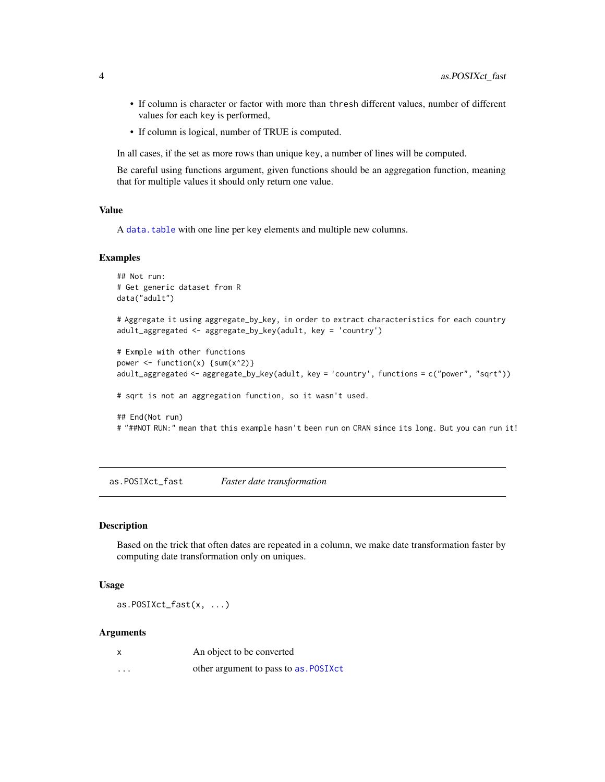- <span id="page-3-0"></span>• If column is character or factor with more than thresh different values, number of different values for each key is performed,
- If column is logical, number of TRUE is computed.

In all cases, if the set as more rows than unique key, a number of lines will be computed.

Be careful using functions argument, given functions should be an aggregation function, meaning that for multiple values it should only return one value.

#### Value

A [data.table](#page-0-0) with one line per key elements and multiple new columns.

#### Examples

```
## Not run:
# Get generic dataset from R
data("adult")
# Aggregate it using aggregate_by_key, in order to extract characteristics for each country
adult_aggregated <- aggregate_by_key(adult, key = 'country')
# Exmple with other functions
power \leq function(x) {sum(x^2)}
adult_aggregated <- aggregate_by_key(adult, key = 'country', functions = c("power", "sqrt"))
# sqrt is not an aggregation function, so it wasn't used.
## End(Not run)
# "##NOT RUN:" mean that this example hasn't been run on CRAN since its long. But you can run it!
```
as.POSIXct\_fast *Faster date transformation*

#### **Description**

Based on the trick that often dates are repeated in a column, we make date transformation faster by computing date transformation only on uniques.

#### Usage

as.POSIXct\_fast(x, ...)

#### Arguments

| X        | An object to be converted              |
|----------|----------------------------------------|
| $\cdots$ | other argument to pass to as . POSIXct |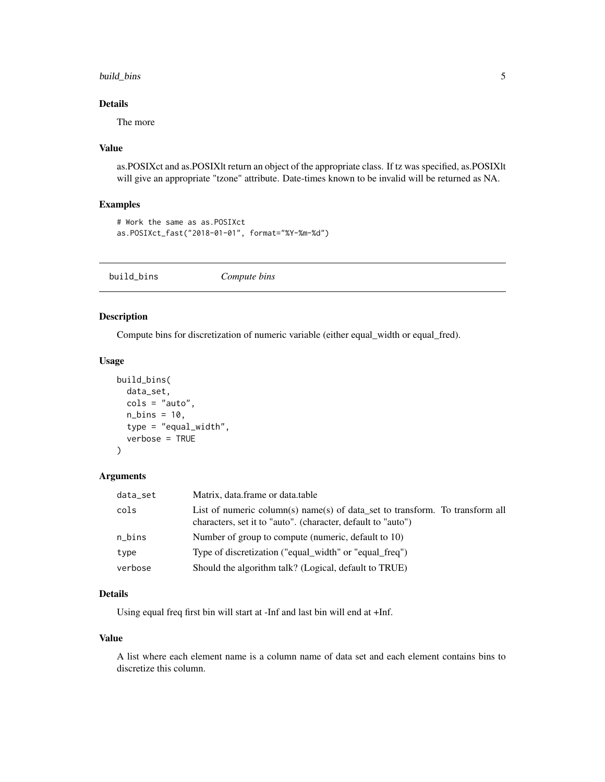# <span id="page-4-0"></span>build\_bins 5

# Details

The more

# Value

as.POSIXct and as.POSIXlt return an object of the appropriate class. If tz was specified, as.POSIXlt will give an appropriate "tzone" attribute. Date-times known to be invalid will be returned as NA.

# Examples

```
# Work the same as as.POSIXct
as.POSIXct_fast("2018-01-01", format="%Y-%m-%d")
```
<span id="page-4-1"></span>build\_bins *Compute bins*

# Description

Compute bins for discretization of numeric variable (either equal\_width or equal\_fred).

# Usage

```
build_bins(
  data_set,
  \text{cols} = \text{"auto",}n_{\text{bins}} = 10,
  type = "equal_width",
  verbose = TRUE
)
```
#### Arguments

| data_set | Matrix, data.frame or data.table                                                                                                             |
|----------|----------------------------------------------------------------------------------------------------------------------------------------------|
| cols     | List of numeric column(s) name(s) of data_set to transform. To transform all<br>characters, set it to "auto". (character, default to "auto") |
| n_bins   | Number of group to compute (numeric, default to 10)                                                                                          |
| type     | Type of discretization ("equal_width" or "equal_freq")                                                                                       |
| verbose  | Should the algorithm talk? (Logical, default to TRUE)                                                                                        |
|          |                                                                                                                                              |

# Details

Using equal freq first bin will start at -Inf and last bin will end at +Inf.

#### Value

A list where each element name is a column name of data set and each element contains bins to discretize this column.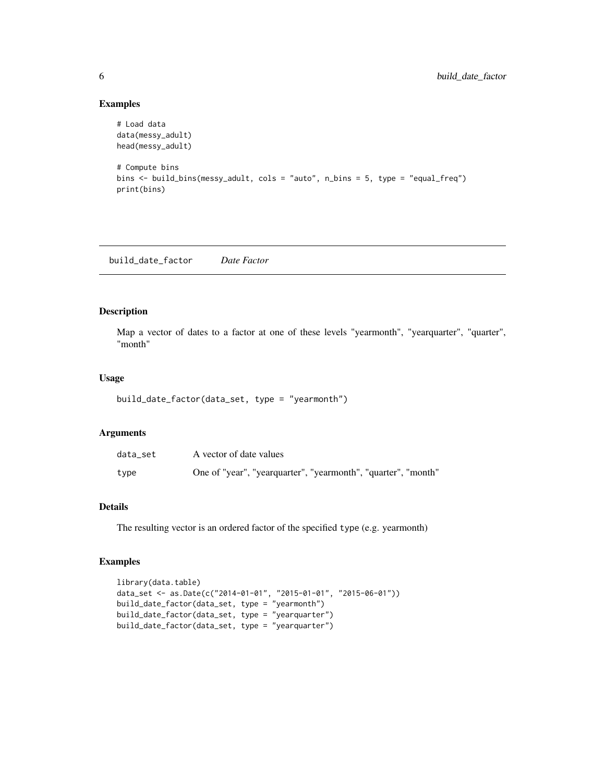# Examples

```
# Load data
data(messy_adult)
head(messy_adult)
# Compute bins
bins <- build_bins(messy_adult, cols = "auto", n_bins = 5, type = "equal_freq")
print(bins)
```
build\_date\_factor *Date Factor*

# Description

Map a vector of dates to a factor at one of these levels "yearmonth", "yearquarter", "quarter", "month"

#### Usage

```
build_date_factor(data_set, type = "yearmonth")
```
#### Arguments

| data set | A vector of date values                                       |
|----------|---------------------------------------------------------------|
| type     | One of "year", "yearquarter", "yearmonth", "quarter", "month" |

# Details

The resulting vector is an ordered factor of the specified type (e.g. yearmonth)

```
library(data.table)
data_set <- as.Date(c("2014-01-01", "2015-01-01", "2015-06-01"))
build_date_factor(data_set, type = "yearmonth")
build_date_factor(data_set, type = "yearquarter")
build_date_factor(data_set, type = "yearquarter")
```
<span id="page-5-0"></span>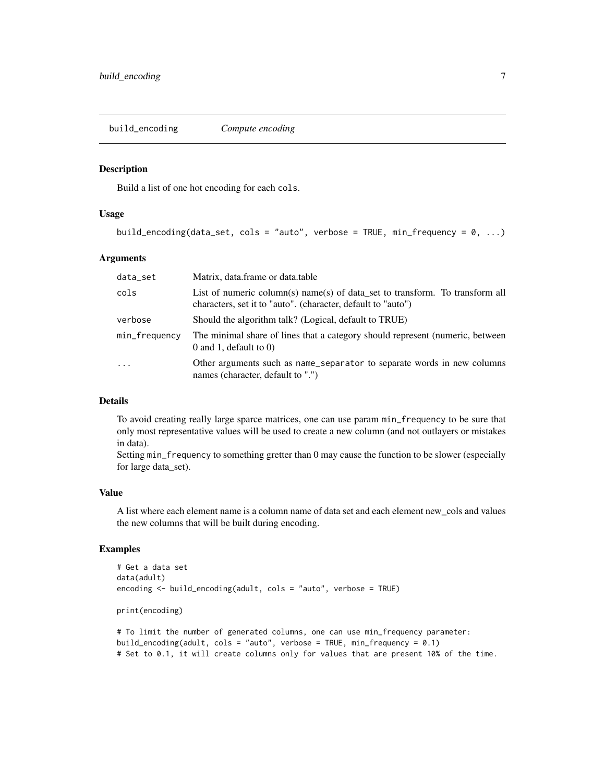<span id="page-6-1"></span><span id="page-6-0"></span>build\_encoding *Compute encoding*

#### Description

Build a list of one hot encoding for each cols.

#### Usage

```
build_encoding(data_set, cols = "auto", verbose = TRUE, min_frequency = 0, ...)
```
#### **Arguments**

| data_set      | Matrix, data.frame or data.table                                                                                                             |
|---------------|----------------------------------------------------------------------------------------------------------------------------------------------|
| cols          | List of numeric column(s) name(s) of data set to transform. To transform all<br>characters, set it to "auto". (character, default to "auto") |
| verbose       | Should the algorithm talk? (Logical, default to TRUE)                                                                                        |
| min_frequency | The minimal share of lines that a category should represent (numeric, between<br>$0$ and 1, default to $0$ )                                 |
| $\ddots$ .    | Other arguments such as name_separator to separate words in new columns<br>names (character, default to ".")                                 |

#### Details

To avoid creating really large sparce matrices, one can use param min\_frequency to be sure that only most representative values will be used to create a new column (and not outlayers or mistakes in data).

Setting min\_frequency to something gretter than 0 may cause the function to be slower (especially for large data\_set).

#### Value

A list where each element name is a column name of data set and each element new\_cols and values the new columns that will be built during encoding.

```
# Get a data set
data(adult)
encoding <- build_encoding(adult, cols = "auto", verbose = TRUE)
print(encoding)
```

```
# To limit the number of generated columns, one can use min_frequency parameter:
build_encoding(adult, cols = "auto", verbose = TRUE, min_frequency = 0.1)
# Set to 0.1, it will create columns only for values that are present 10% of the time.
```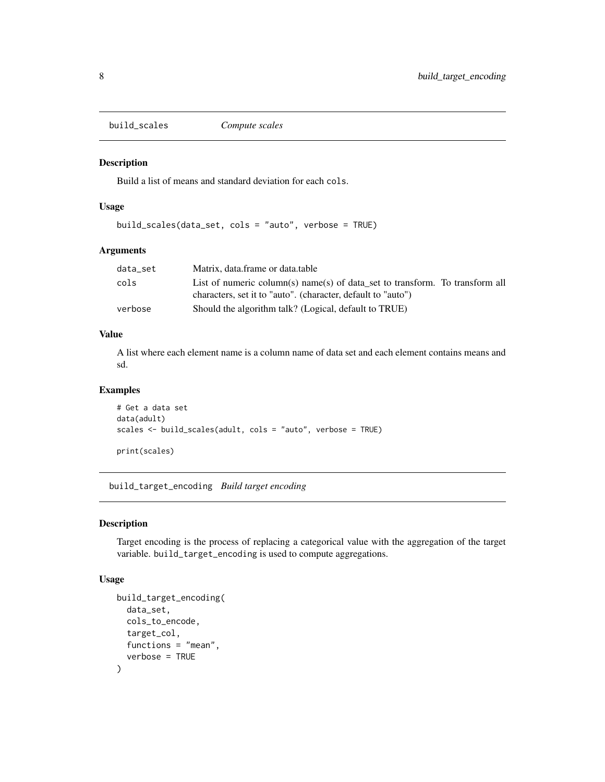<span id="page-7-1"></span><span id="page-7-0"></span>build\_scales *Compute scales*

#### Description

Build a list of means and standard deviation for each cols.

# Usage

build\_scales(data\_set, cols = "auto", verbose = TRUE)

# Arguments

| data set | Matrix, data.frame or data.table                                             |
|----------|------------------------------------------------------------------------------|
| cols     | List of numeric column(s) name(s) of data set to transform. To transform all |
|          | characters, set it to "auto". (character, default to "auto")                 |
| verbose  | Should the algorithm talk? (Logical, default to TRUE)                        |

# Value

A list where each element name is a column name of data set and each element contains means and sd.

# Examples

```
# Get a data set
data(adult)
scales <- build_scales(adult, cols = "auto", verbose = TRUE)
print(scales)
```
<span id="page-7-2"></span>build\_target\_encoding *Build target encoding*

#### Description

Target encoding is the process of replacing a categorical value with the aggregation of the target variable. build\_target\_encoding is used to compute aggregations.

```
build_target_encoding(
  data_set,
  cols_to_encode,
  target_col,
  functions = "mean",
  verbose = TRUE
\mathcal{E}
```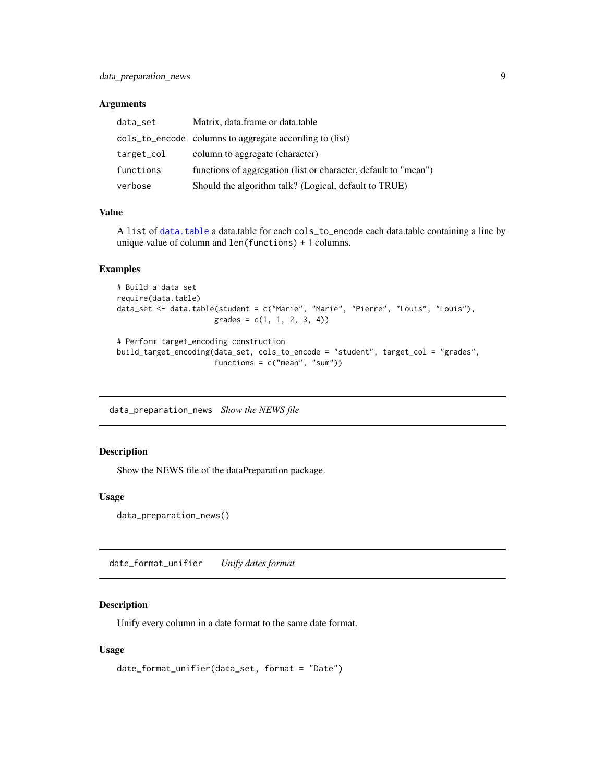# <span id="page-8-0"></span>Arguments

| data_set   | Matrix, data.frame or data.table                                |
|------------|-----------------------------------------------------------------|
|            | cols_to_encode columns to aggregate according to (list)         |
| target_col | column to aggregate (character)                                 |
| functions  | functions of aggregation (list or character, default to "mean") |
| verbose    | Should the algorithm talk? (Logical, default to TRUE)           |

# Value

A list of [data.table](#page-0-0) a data.table for each cols\_to\_encode each data.table containing a line by unique value of column and len(functions) + 1 columns.

### Examples

```
# Build a data set
require(data.table)
data_set <- data.table(student = c("Marie", "Marie", "Pierre", "Louis", "Louis"),
                      grades = c(1, 1, 2, 3, 4))
```

```
# Perform target_encoding construction
build_target_encoding(data_set, cols_to_encode = "student", target_col = "grades",
                     functions = c("mean", "sum"))
```
data\_preparation\_news *Show the NEWS file*

# Description

Show the NEWS file of the dataPreparation package.

#### Usage

```
data_preparation_news()
```
date\_format\_unifier *Unify dates format*

#### Description

Unify every column in a date format to the same date format.

```
date_format_unifier(data_set, format = "Date")
```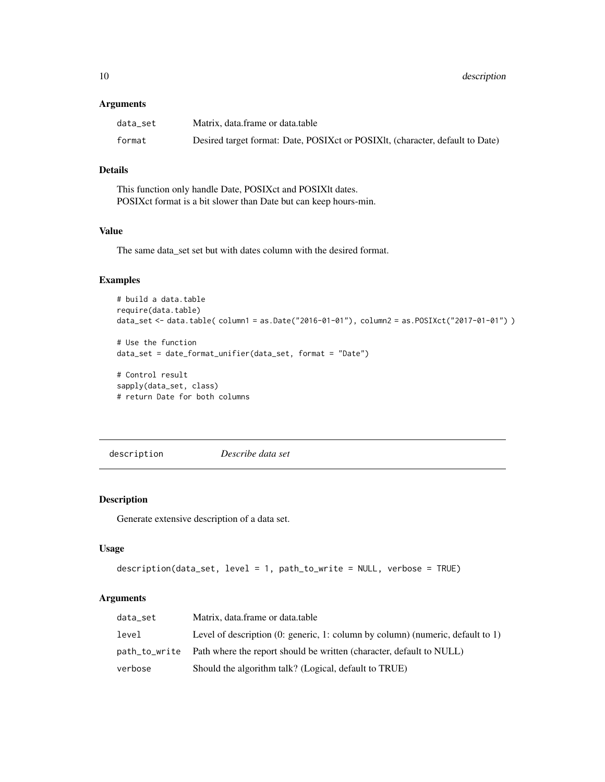#### <span id="page-9-0"></span>Arguments

| data set | Matrix, data.frame or data.table                                                |
|----------|---------------------------------------------------------------------------------|
| format   | Desired target format: Date, POSIX et or POSIX lt, (character, default to Date) |

# Details

This function only handle Date, POSIXct and POSIXlt dates. POSIXct format is a bit slower than Date but can keep hours-min.

# Value

The same data\_set set but with dates column with the desired format.

# Examples

```
# build a data.table
require(data.table)
data_set <- data.table( column1 = as.Date("2016-01-01"), column2 = as.POSIXct("2017-01-01") )
```

```
# Use the function
data_set = date_format_unifier(data_set, format = "Date")
```
# Control result sapply(data\_set, class) # return Date for both columns

description *Describe data set*

# Description

Generate extensive description of a data set.

# Usage

```
description(data_set, level = 1, path_to_write = NULL, verbose = TRUE)
```
#### Arguments

| data set | Matrix, data.frame or data.table                                                                |
|----------|-------------------------------------------------------------------------------------------------|
| level    | Level of description $(0; \text{ generic}, 1; \text{column by column})$ (numeric, default to 1) |
|          | path_to_write Path where the report should be written (character, default to NULL)              |
| verbose  | Should the algorithm talk? (Logical, default to TRUE)                                           |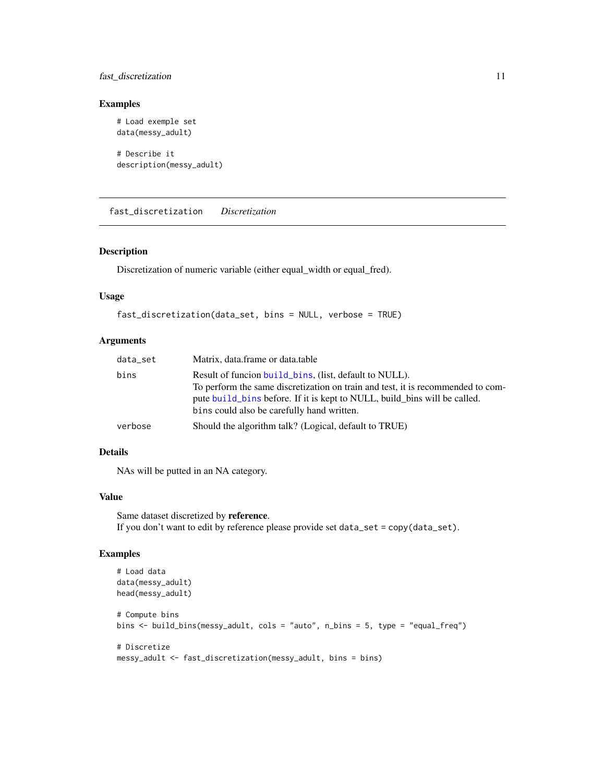# <span id="page-10-0"></span>fast\_discretization 11

# Examples

```
# Load exemple set
data(messy_adult)
# Describe it
description(messy_adult)
```
fast\_discretization *Discretization*

# Description

Discretization of numeric variable (either equal\_width or equal\_fred).

#### Usage

```
fast_discretization(data_set, bins = NULL, verbose = TRUE)
```
# Arguments

| data_set | Matrix, data.frame or data.table                                                                                                                                                                                                                                     |
|----------|----------------------------------------------------------------------------------------------------------------------------------------------------------------------------------------------------------------------------------------------------------------------|
| bins     | Result of funcion build bins. (list, default to NULL).<br>To perform the same discretization on train and test, it is recommended to com-<br>pute build bins before. If it is kept to NULL, build bins will be called.<br>bins could also be carefully hand written. |
| verbose  | Should the algorithm talk? (Logical, default to TRUE)                                                                                                                                                                                                                |

# Details

NAs will be putted in an NA category.

#### Value

Same dataset discretized by reference. If you don't want to edit by reference please provide set data\_set = copy(data\_set).

```
# Load data
data(messy_adult)
head(messy_adult)
# Compute bins
bins <- build_bins(messy_adult, cols = "auto", n_bins = 5, type = "equal_freq")
# Discretize
messy_adult <- fast_discretization(messy_adult, bins = bins)
```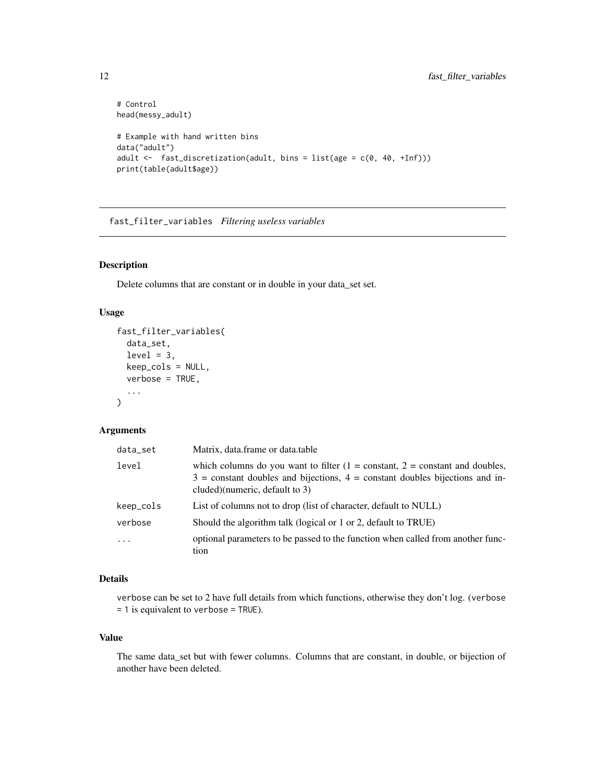```
# Control
head(messy_adult)
# Example with hand written bins
data("adult")
adult <- fast_discretization(adult, bins = list(age = c(0, 40, +Inf)))
print(table(adult$age))
```
fast\_filter\_variables *Filtering useless variables*

# Description

Delete columns that are constant or in double in your data\_set set.

# Usage

```
fast_filter_variables(
  data_set,
 level = 3,
 keep_cols = NULL,
  verbose = TRUE,
  ...
)
```
# Arguments

| data_set   | Matrix, data.frame or data.table                                                                                                                                                                     |
|------------|------------------------------------------------------------------------------------------------------------------------------------------------------------------------------------------------------|
| level      | which columns do you want to filter $(1 = constant, 2 = constant$ and doubles,<br>$3 =$ constant doubles and bijections, $4 =$ constant doubles bijections and in-<br>cluded)(numeric, default to 3) |
| keep_cols  | List of columns not to drop (list of character, default to NULL)                                                                                                                                     |
| verbose    | Should the algorithm talk (logical or 1 or 2, default to TRUE)                                                                                                                                       |
| $\ddots$ . | optional parameters to be passed to the function when called from another func-<br>tion                                                                                                              |

#### Details

verbose can be set to 2 have full details from which functions, otherwise they don't log. (verbose  $= 1$  is equivalent to verbose = TRUE).

# Value

The same data\_set but with fewer columns. Columns that are constant, in double, or bijection of another have been deleted.

<span id="page-11-0"></span>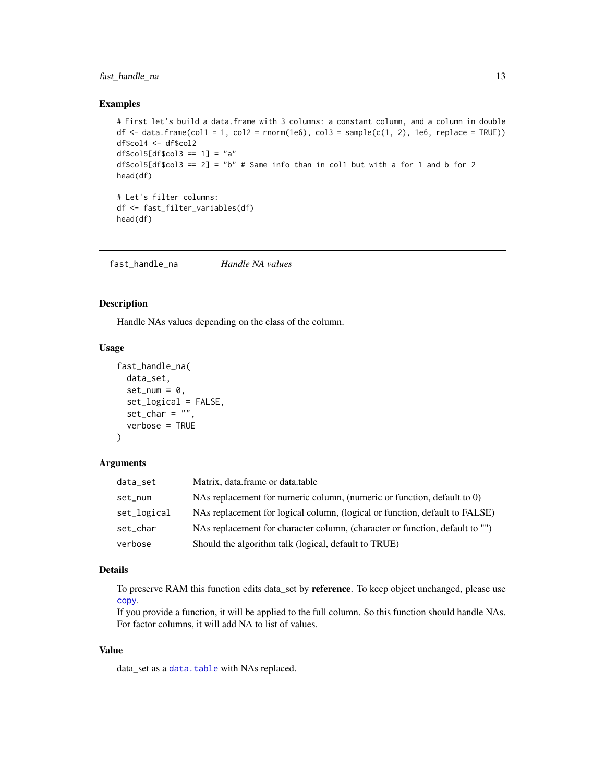# <span id="page-12-0"></span>fast\_handle\_na 13

#### Examples

```
# First let's build a data.frame with 3 columns: a constant column, and a column in double
df \le data.frame(col1 = 1, col2 = rnorm(1e6), col3 = sample(c(1, 2), 1e6, replace = TRUE))
df$col4 <- df$col2
df$col5df$col3 == 1] = "a"
df$col5[df$col3 == 2] = "b" # Same info than in col1 but with a for 1 and b for 2
head(df)
# Let's filter columns:
df <- fast_filter_variables(df)
head(df)
```
<span id="page-12-1"></span>fast\_handle\_na *Handle NA values*

# Description

Handle NAs values depending on the class of the column.

# Usage

```
fast_handle_na(
  data_set,
  set\_num = 0,
  set_logical = FALSE,
  set_{char} = "",
  verbose = TRUE
\lambda
```
#### Arguments

| data_set    | Matrix, data.frame or data.table                                             |
|-------------|------------------------------------------------------------------------------|
| set_num     | NAs replacement for numeric column, (numeric or function, default to 0)      |
| set_logical | NAs replacement for logical column, (logical or function, default to FALSE)  |
| set_char    | NAs replacement for character column, (character or function, default to "") |
| verbose     | Should the algorithm talk (logical, default to TRUE)                         |

# Details

To preserve RAM this function edits data\_set by reference. To keep object unchanged, please use [copy](#page-0-0).

If you provide a function, it will be applied to the full column. So this function should handle NAs. For factor columns, it will add NA to list of values.

# Value

data\_set as a [data.table](#page-0-0) with NAs replaced.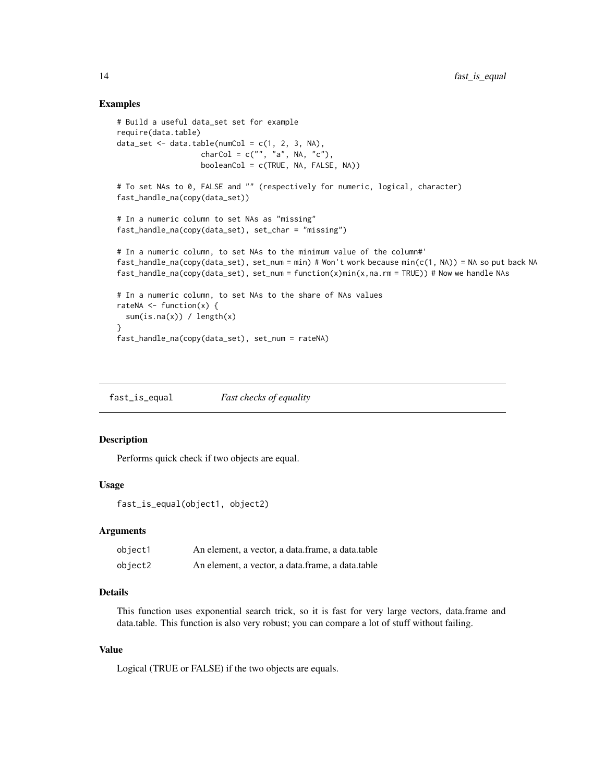#### Examples

```
# Build a useful data_set set for example
require(data.table)
data_set <- data.table(numCol = c(1, 2, 3, NA),
                   charCol = c("", "a", NA, "c"),
                   booleanCol = c(TRUE, NA, FALSE, NA))
# To set NAs to 0, FALSE and "" (respectively for numeric, logical, character)
fast_handle_na(copy(data_set))
# In a numeric column to set NAs as "missing"
fast_handle_na(copy(data_set), set_char = "missing")
# In a numeric column, to set NAs to the minimum value of the column#'
fast_handle_na(copy(data_set), set_num = min) # Won't work because min(c(1, NA)) = NA so put back NA
fast_handle_na(copy(data_set), set_num = function(x)min(x,na.rm = TRUE)) # Now we handle NAs
# In a numeric column, to set NAs to the share of NAs values
rateNA \leq function(x) {
 sum(is.na(x)) / length(x)
}
fast_handle_na(copy(data_set), set_num = rateNA)
```
fast\_is\_equal *Fast checks of equality*

### Description

Performs quick check if two objects are equal.

#### Usage

```
fast_is_equal(object1, object2)
```
#### Arguments

| object1 | An element, a vector, a data.frame, a data.table |
|---------|--------------------------------------------------|
| object2 | An element, a vector, a data.frame, a data.table |

# Details

This function uses exponential search trick, so it is fast for very large vectors, data.frame and data.table. This function is also very robust; you can compare a lot of stuff without failing.

# Value

Logical (TRUE or FALSE) if the two objects are equals.

<span id="page-13-0"></span>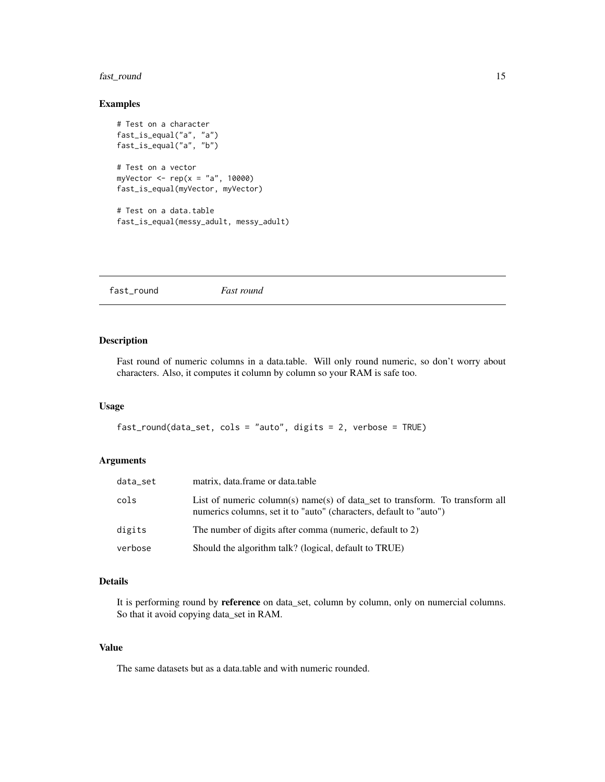# <span id="page-14-0"></span>fast\_round 15

# Examples

```
# Test on a character
fast_is_equal("a", "a")
fast_is_equal("a", "b")
# Test on a vector
myVector <- rep(x = "a", 10000)fast_is_equal(myVector, myVector)
# Test on a data.table
fast_is_equal(messy_adult, messy_adult)
```
<span id="page-14-1"></span>fast\_round *Fast round*

# Description

Fast round of numeric columns in a data.table. Will only round numeric, so don't worry about characters. Also, it computes it column by column so your RAM is safe too.

# Usage

```
fast_round(data_set, cols = "auto", digits = 2, verbose = TRUE)
```
#### Arguments

| data_set | matrix, data.frame or data.table                                                                                                                   |
|----------|----------------------------------------------------------------------------------------------------------------------------------------------------|
| cols     | List of numeric column(s) name(s) of data set to transform. To transform all<br>numerics columns, set it to "auto" (characters, default to "auto") |
| digits   | The number of digits after comma (numeric, default to 2)                                                                                           |
| verbose  | Should the algorithm talk? (logical, default to TRUE)                                                                                              |

# Details

It is performing round by reference on data\_set, column by column, only on numercial columns. So that it avoid copying data\_set in RAM.

# Value

The same datasets but as a data.table and with numeric rounded.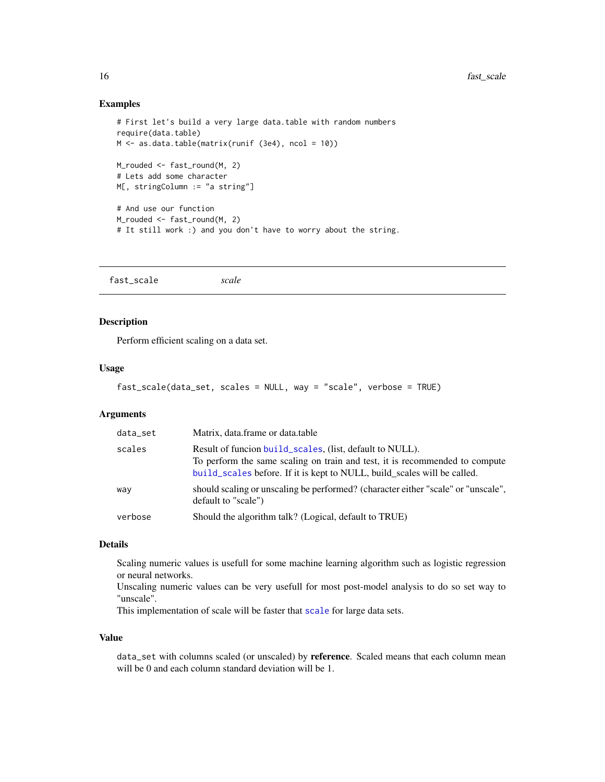#### <span id="page-15-0"></span>Examples

```
# First let's build a very large data.table with random numbers
require(data.table)
M <- as.data.table(matrix(runif (3e4), ncol = 10))
M_rouded <- fast_round(M, 2)
# Lets add some character
M[, stringColumn := "a string"]
# And use our function
M_rouded <- fast_round(M, 2)
# It still work :) and you don't have to worry about the string.
```

|  |  | scale | fast_scale |
|--|--|-------|------------|
|--|--|-------|------------|

# Description

Perform efficient scaling on a data set.

#### Usage

```
fast_scale(data_set, scales = NULL, way = "scale", verbose = TRUE)
```
#### Arguments

| data_set | Matrix, data.frame or data.table                                                                                                                                                                                    |
|----------|---------------------------------------------------------------------------------------------------------------------------------------------------------------------------------------------------------------------|
| scales   | Result of funcion build_scales, (list, default to NULL).<br>To perform the same scaling on train and test, it is recommended to compute<br>build_scales before. If it is kept to NULL, build_scales will be called. |
| way      | should scaling or unscaling be performed? (character either "scale" or "unscale",<br>default to "scale")                                                                                                            |
| verbose  | Should the algorithm talk? (Logical, default to TRUE)                                                                                                                                                               |

#### Details

Scaling numeric values is usefull for some machine learning algorithm such as logistic regression or neural networks.

Unscaling numeric values can be very usefull for most post-model analysis to do so set way to "unscale".

This implementation of scale will be faster that [scale](#page-0-0) for large data sets.

#### Value

data\_set with columns scaled (or unscaled) by reference. Scaled means that each column mean will be 0 and each column standard deviation will be 1.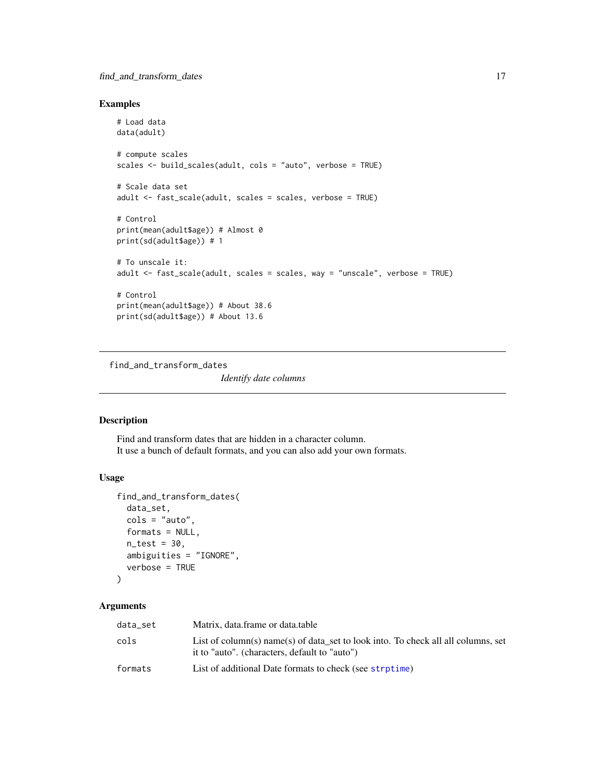# <span id="page-16-0"></span>find\_and\_transform\_dates 17

# Examples

```
# Load data
data(adult)
# compute scales
scales <- build_scales(adult, cols = "auto", verbose = TRUE)
# Scale data set
adult <- fast_scale(adult, scales = scales, verbose = TRUE)
# Control
print(mean(adult$age)) # Almost 0
print(sd(adult$age)) # 1
# To unscale it:
adult <- fast_scale(adult, scales = scales, way = "unscale", verbose = TRUE)
# Control
print(mean(adult$age)) # About 38.6
print(sd(adult$age)) # About 13.6
```
<span id="page-16-1"></span>find\_and\_transform\_dates

*Identify date columns*

# Description

Find and transform dates that are hidden in a character column. It use a bunch of default formats, and you can also add your own formats.

# Usage

```
find_and_transform_dates(
  data_set,
  \text{cols} = \text{"auto",}formats = NULL,
  n_test = 30,
  ambiguities = "IGNORE",
  verbose = TRUE
\lambda
```
# Arguments

| data_set | Matrix, data.frame or data.table                                                                                                   |
|----------|------------------------------------------------------------------------------------------------------------------------------------|
| cols     | List of column(s) name(s) of data set to look into. To check all all columns, set<br>it to "auto". (characters, default to "auto") |
| formats  | List of additional Date formats to check (see strptime)                                                                            |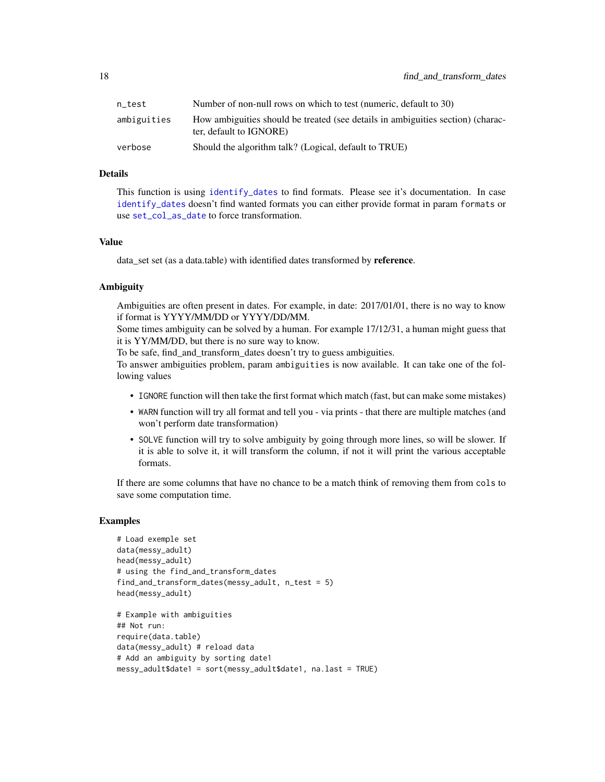<span id="page-17-0"></span>

| n test      | Number of non-null rows on which to test (numeric, default to 30)                                          |
|-------------|------------------------------------------------------------------------------------------------------------|
| ambiguities | How ambiguities should be treated (see details in ambiguities section) (charac-<br>ter, default to IGNORE) |
| verbose     | Should the algorithm talk? (Logical, default to TRUE)                                                      |

# Details

This function is using [identify\\_dates](#page-23-1) to find formats. Please see it's documentation. In case [identify\\_dates](#page-23-1) doesn't find wanted formats you can either provide format in param formats or use [set\\_col\\_as\\_date](#page-34-1) to force transformation.

#### Value

data\_set set (as a data.table) with identified dates transformed by reference.

# Ambiguity

Ambiguities are often present in dates. For example, in date: 2017/01/01, there is no way to know if format is YYYY/MM/DD or YYYY/DD/MM.

Some times ambiguity can be solved by a human. For example 17/12/31, a human might guess that it is YY/MM/DD, but there is no sure way to know.

To be safe, find\_and\_transform\_dates doesn't try to guess ambiguities.

To answer ambiguities problem, param ambiguities is now available. It can take one of the following values

- IGNORE function will then take the first format which match (fast, but can make some mistakes)
- WARN function will try all format and tell you via prints that there are multiple matches (and won't perform date transformation)
- SOLVE function will try to solve ambiguity by going through more lines, so will be slower. If it is able to solve it, it will transform the column, if not it will print the various acceptable formats.

If there are some columns that have no chance to be a match think of removing them from cols to save some computation time.

```
# Load exemple set
data(messy_adult)
head(messy_adult)
# using the find_and_transform_dates
find_and_transform_dates(messy_adult, n_test = 5)
head(messy_adult)
# Example with ambiguities
## Not run:
```

```
require(data.table)
data(messy_adult) # reload data
# Add an ambiguity by sorting date1
messy_adult$date1 = sort(messy_adult$date1, na.last = TRUE)
```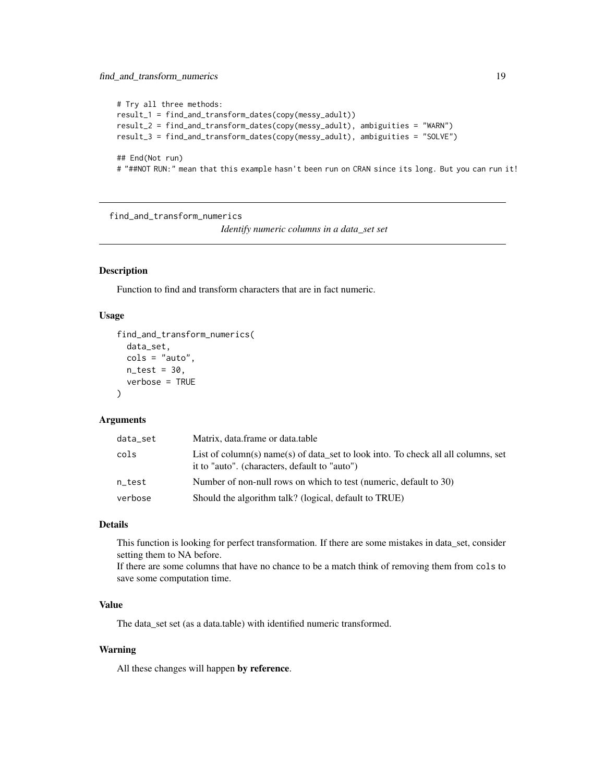# <span id="page-18-0"></span>find\_and\_transform\_numerics 19

```
# Try all three methods:
result_1 = find_and_transform_dates(copy(messy_adult))
result_2 = find_and_transform_dates(copy(messy_adult), ambiguities = "WARN")
result_3 = find_and_transform_dates(copy(messy_adult), ambiguities = "SOLVE")
## End(Not run)
# "##NOT RUN:" mean that this example hasn't been run on CRAN since its long. But you can run it!
```
<span id="page-18-1"></span>find\_and\_transform\_numerics

*Identify numeric columns in a data\_set set*

# **Description**

Function to find and transform characters that are in fact numeric.

#### Usage

```
find_and_transform_numerics(
  data_set,
  cols = "auto",
  n_{\text{test}} = 30,
  verbose = TRUE
)
```
#### Arguments

| data_set | Matrix, data.frame or data.table                                                                                                   |
|----------|------------------------------------------------------------------------------------------------------------------------------------|
| cols     | List of column(s) name(s) of data set to look into. To check all all columns, set<br>it to "auto". (characters, default to "auto") |
| n test   | Number of non-null rows on which to test (numeric, default to 30)                                                                  |
| verbose  | Should the algorithm talk? (logical, default to TRUE)                                                                              |

#### Details

This function is looking for perfect transformation. If there are some mistakes in data\_set, consider setting them to NA before.

If there are some columns that have no chance to be a match think of removing them from cols to save some computation time.

#### Value

The data\_set set (as a data.table) with identified numeric transformed.

#### Warning

All these changes will happen by reference.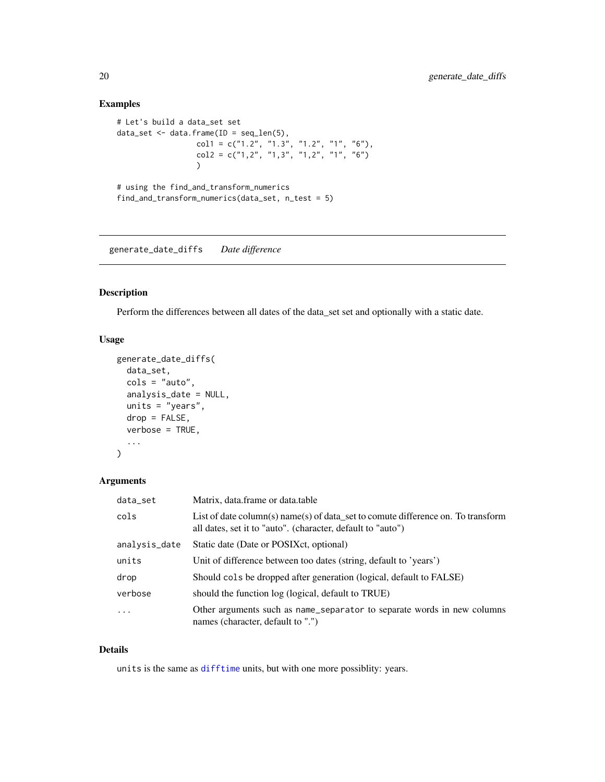# Examples

```
# Let's build a data_set set
data_set \leq data.frame(ID = seq_len(5),
                  col1 = c("1.2", "1.3", "1.2", "1", "6"),col2 = c("1, 2", "1, 3", "1, 2", "1", "6"))
# using the find_and_transform_numerics
find_and_transform_numerics(data_set, n_test = 5)
```
generate\_date\_diffs *Date difference*

# Description

Perform the differences between all dates of the data\_set set and optionally with a static date.

# Usage

```
generate_date_diffs(
  data_set,
  \text{cols} = \text{"auto",}analysis_date = NULL,
  units = "years",
  drop = FALSE,
  verbose = TRUE,
  ...
\mathcal{L}
```
#### Arguments

| data_set      | Matrix, data.frame or data.table                                                                                                                |
|---------------|-------------------------------------------------------------------------------------------------------------------------------------------------|
| cols          | List of date column(s) name(s) of data set to comute difference on. To transform<br>all dates, set it to "auto". (character, default to "auto") |
| analysis_date | Static date (Date or POSIX ct, optional)                                                                                                        |
| units         | Unit of difference between too dates (string, default to 'years')                                                                               |
| drop          | Should cols be dropped after generation (logical, default to FALSE)                                                                             |
| verbose       | should the function log (logical, default to TRUE)                                                                                              |
| $\ddots$ .    | Other arguments such as name_separator to separate words in new columns<br>names (character, default to ".")                                    |

# Details

units is the same as [difftime](#page-0-0) units, but with one more possiblity: years.

<span id="page-19-0"></span>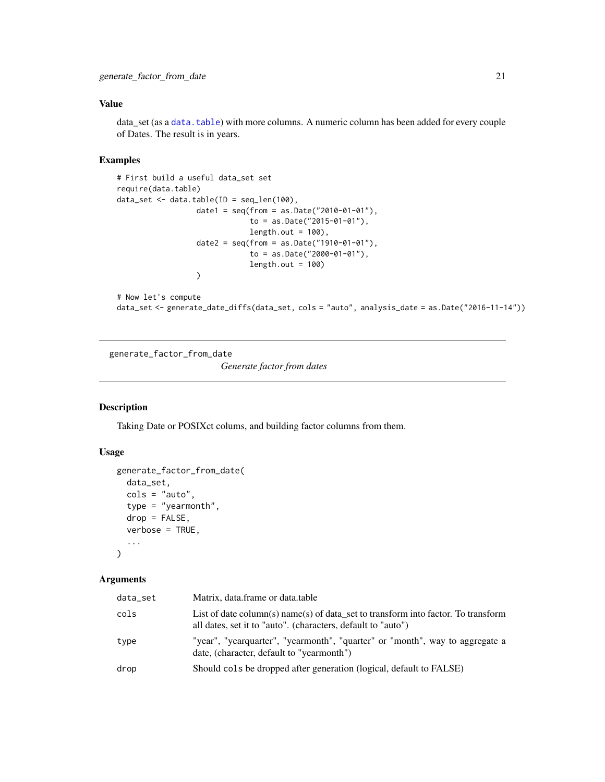# <span id="page-20-0"></span>Value

data\_set (as a [data.table](#page-0-0)) with more columns. A numeric column has been added for every couple of Dates. The result is in years.

# Examples

```
# First build a useful data_set set
require(data.table)
data_set \leq data.table(ID = seq_len(100),
                 date1 = seq(from = as.Date("2010-01-01"),to = as.Date("2015-01-01"),
                             length.out = 100,
                  date2 = seq(from = as.Date("1910-01-01"),to = as.Date("2000-01-01"),
                             length.out = 100)
```

```
# Now let's compute
```

```
data_set <- generate_date_diffs(data_set, cols = "auto", analysis_date = as.Date("2016-11-14"))
```
<span id="page-20-1"></span>generate\_factor\_from\_date

*Generate factor from dates*

# Description

Taking Date or POSIXct colums, and building factor columns from them.

# Usage

```
generate_factor_from_date(
  data_set,
  cols = "auto",
  type = "yearmonth",
  drop = FALSE,verbose = TRUE,
  ...
\mathcal{L}
```
#### Arguments

| data_set | Matrix, data.frame or data.table                                                                                                                  |
|----------|---------------------------------------------------------------------------------------------------------------------------------------------------|
| cols     | List of date column(s) name(s) of data set to transform into factor. To transform<br>all dates, set it to "auto". (characters, default to "auto") |
| type     | "year", "yearquarter", "yearmonth", "quarter" or "month", way to aggregate a<br>date, (character, default to "yearmonth")                         |
| drop     | Should cols be dropped after generation (logical, default to FALSE)                                                                               |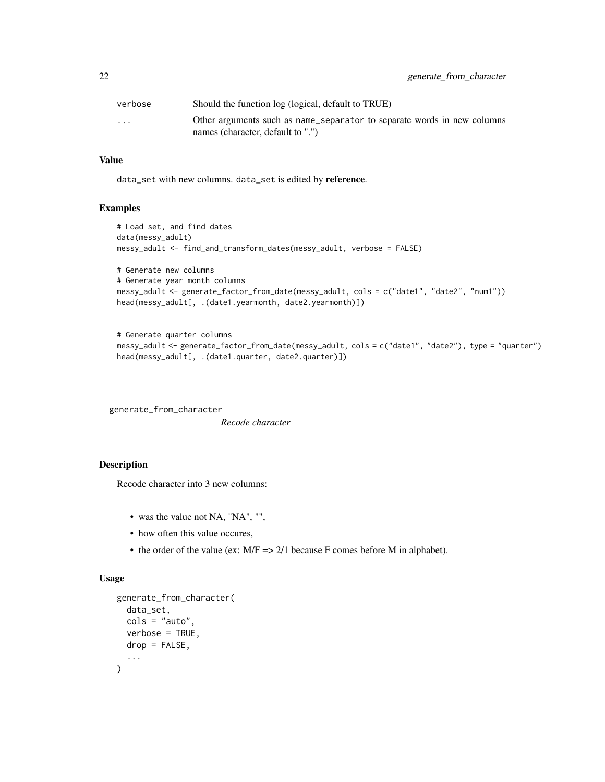<span id="page-21-0"></span>

| verbose                 | Should the function log (logical, default to TRUE)                                                           |
|-------------------------|--------------------------------------------------------------------------------------------------------------|
| $\cdot$ $\cdot$ $\cdot$ | Other arguments such as name_separator to separate words in new columns<br>names (character, default to ".") |

# Value

data\_set with new columns. data\_set is edited by reference.

#### Examples

```
# Load set, and find dates
data(messy_adult)
messy_adult <- find_and_transform_dates(messy_adult, verbose = FALSE)
# Generate new columns
# Generate year month columns
messy_adult <- generate_factor_from_date(messy_adult, cols = c("date1", "date2", "num1"))
head(messy_adult[, .(date1.yearmonth, date2.yearmonth)])
```

```
# Generate quarter columns
messy_adult <- generate_factor_from_date(messy_adult, cols = c("date1", "date2"), type = "quarter")
head(messy_adult[, .(date1.quarter, date2.quarter)])
```
<span id="page-21-1"></span>generate\_from\_character

*Recode character*

# Description

Recode character into 3 new columns:

- was the value not NA, "NA", "",
- how often this value occures,
- the order of the value (ex: M/F => 2/1 because F comes before M in alphabet).

```
generate_from_character(
  data_set,
  cols = "auto",verbose = TRUE,
  drop = FALSE,...
\mathcal{L}
```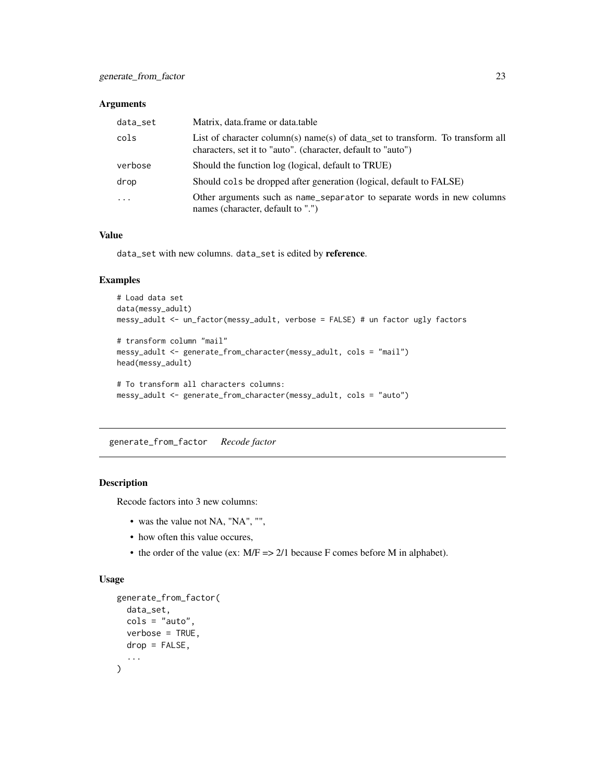# <span id="page-22-0"></span>Arguments

| data_set                | Matrix, data.frame or data.table                                                                                                               |
|-------------------------|------------------------------------------------------------------------------------------------------------------------------------------------|
| cols                    | List of character column(s) name(s) of data_set to transform. To transform all<br>characters, set it to "auto". (character, default to "auto") |
| verbose                 | Should the function log (logical, default to TRUE)                                                                                             |
| drop                    | Should cols be dropped after generation (logical, default to FALSE)                                                                            |
| $\cdot$ $\cdot$ $\cdot$ | Other arguments such as name_separator to separate words in new columns<br>names (character, default to ".")                                   |

# Value

data\_set with new columns. data\_set is edited by reference.

# Examples

```
# Load data set
data(messy_adult)
messy_adult <- un_factor(messy_adult, verbose = FALSE) # un factor ugly factors
# transform column "mail"
messy_adult <- generate_from_character(messy_adult, cols = "mail")
```

```
head(messy_adult)
```

```
# To transform all characters columns:
messy_adult <- generate_from_character(messy_adult, cols = "auto")
```
generate\_from\_factor *Recode factor*

# Description

Recode factors into 3 new columns:

- was the value not NA, "NA", "",
- how often this value occures,
- the order of the value (ex: M/F => 2/1 because F comes before M in alphabet).

```
generate_from_factor(
  data_set,
  cols = "auto",verbose = TRUE,
  drop = FALSE,
  ...
\mathcal{L}
```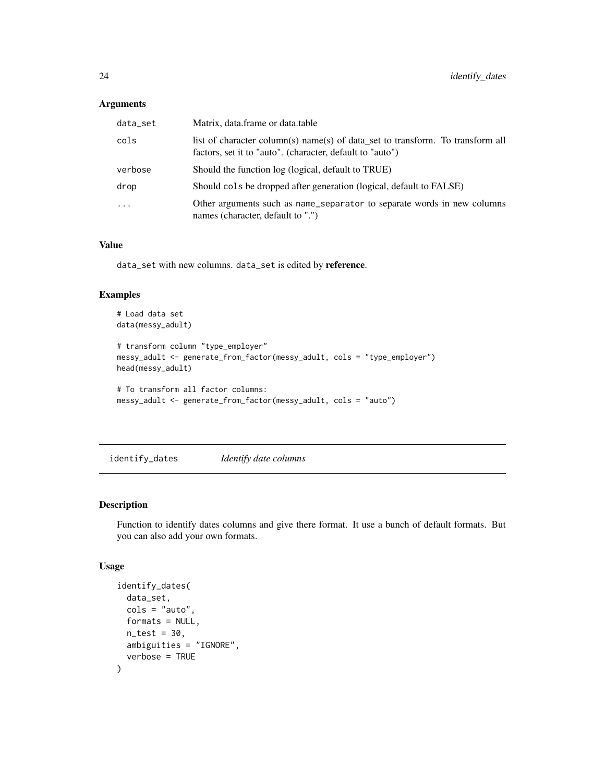# <span id="page-23-0"></span>Arguments

| data_set  | Matrix, data.frame or data.table                                                                                                            |
|-----------|---------------------------------------------------------------------------------------------------------------------------------------------|
| cols      | list of character column(s) name(s) of data_set to transform. To transform all<br>factors, set it to "auto". (character, default to "auto") |
| verbose   | Should the function log (logical, default to TRUE)                                                                                          |
| drop      | Should cols be dropped after generation (logical, default to FALSE)                                                                         |
| $\ddotsc$ | Other arguments such as name_separator to separate words in new columns<br>names (character, default to ".")                                |

### Value

data\_set with new columns. data\_set is edited by reference.

# Examples

```
# Load data set
data(messy_adult)
# transform column "type_employer"
messy_adult <- generate_from_factor(messy_adult, cols = "type_employer")
head(messy_adult)
# To transform all factor columns:
messy_adult <- generate_from_factor(messy_adult, cols = "auto")
```
<span id="page-23-1"></span>

identify\_dates *Identify date columns*

# Description

Function to identify dates columns and give there format. It use a bunch of default formats. But you can also add your own formats.

```
identify_dates(
  data_set,
  \text{cols} = \text{"auto"},
  formats = NULL,
  n_{\text{test}} = 30,
  ambiguities = "IGNORE",
  verbose = TRUE
)
```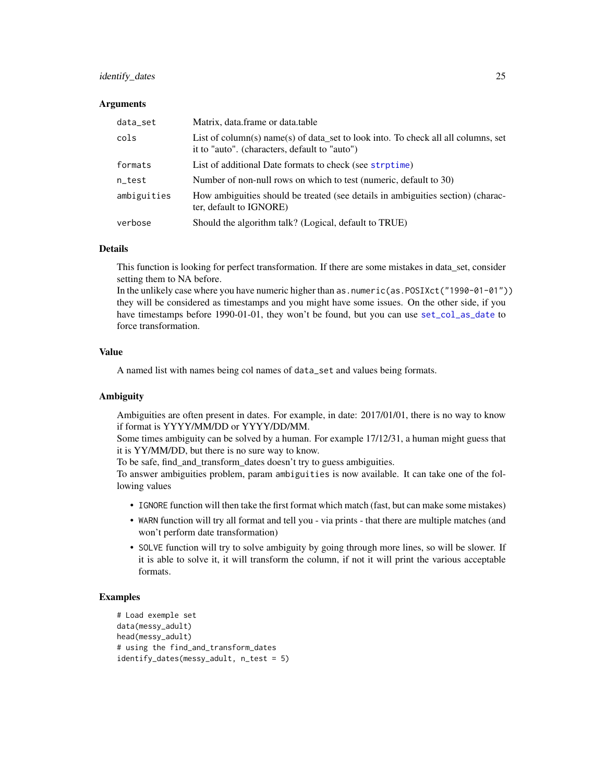#### <span id="page-24-0"></span>identify\_dates 25

#### **Arguments**

| data_set    | Matrix, data.frame or data.table                                                                                                   |
|-------------|------------------------------------------------------------------------------------------------------------------------------------|
| cols        | List of column(s) name(s) of data set to look into. To check all all columns, set<br>it to "auto". (characters, default to "auto") |
| formats     | List of additional Date formats to check (see strptime)                                                                            |
| n_test      | Number of non-null rows on which to test (numeric, default to 30)                                                                  |
| ambiguities | How ambiguities should be treated (see details in ambiguities section) (charac-<br>ter, default to IGNORE)                         |
| verbose     | Should the algorithm talk? (Logical, default to TRUE)                                                                              |

#### Details

This function is looking for perfect transformation. If there are some mistakes in data\_set, consider setting them to NA before.

In the unlikely case where you have numeric higher than as.numeric(as.POSIXct("1990-01-01")) they will be considered as timestamps and you might have some issues. On the other side, if you have timestamps before 1990-01-01, they won't be found, but you can use [set\\_col\\_as\\_date](#page-34-1) to force transformation.

# Value

A named list with names being col names of data\_set and values being formats.

#### Ambiguity

Ambiguities are often present in dates. For example, in date: 2017/01/01, there is no way to know if format is YYYY/MM/DD or YYYY/DD/MM.

Some times ambiguity can be solved by a human. For example 17/12/31, a human might guess that it is YY/MM/DD, but there is no sure way to know.

To be safe, find\_and\_transform\_dates doesn't try to guess ambiguities.

To answer ambiguities problem, param ambiguities is now available. It can take one of the following values

- IGNORE function will then take the first format which match (fast, but can make some mistakes)
- WARN function will try all format and tell you via prints that there are multiple matches (and won't perform date transformation)
- SOLVE function will try to solve ambiguity by going through more lines, so will be slower. If it is able to solve it, it will transform the column, if not it will print the various acceptable formats.

```
# Load exemple set
data(messy_adult)
head(messy_adult)
# using the find_and_transform_dates
identify_dates(messy_adult, n_test = 5)
```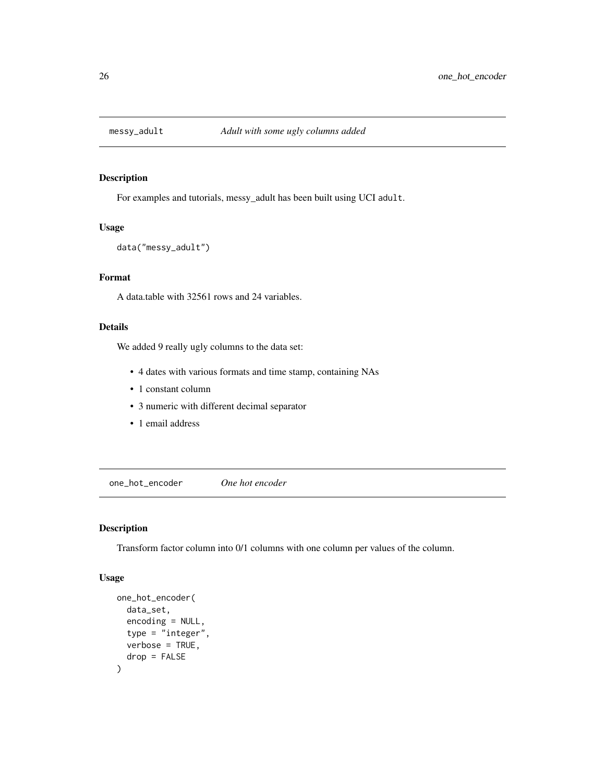<span id="page-25-0"></span>

# Description

For examples and tutorials, messy\_adult has been built using UCI adult.

# Usage

data("messy\_adult")

# Format

A data.table with 32561 rows and 24 variables.

# Details

We added 9 really ugly columns to the data set:

- 4 dates with various formats and time stamp, containing NAs
- 1 constant column
- 3 numeric with different decimal separator
- 1 email address

one\_hot\_encoder *One hot encoder*

# Description

Transform factor column into 0/1 columns with one column per values of the column.

```
one_hot_encoder(
  data_set,
  encoding = NULL,
  type = "integer",
  verbose = TRUE,
  drop = FALSE
)
```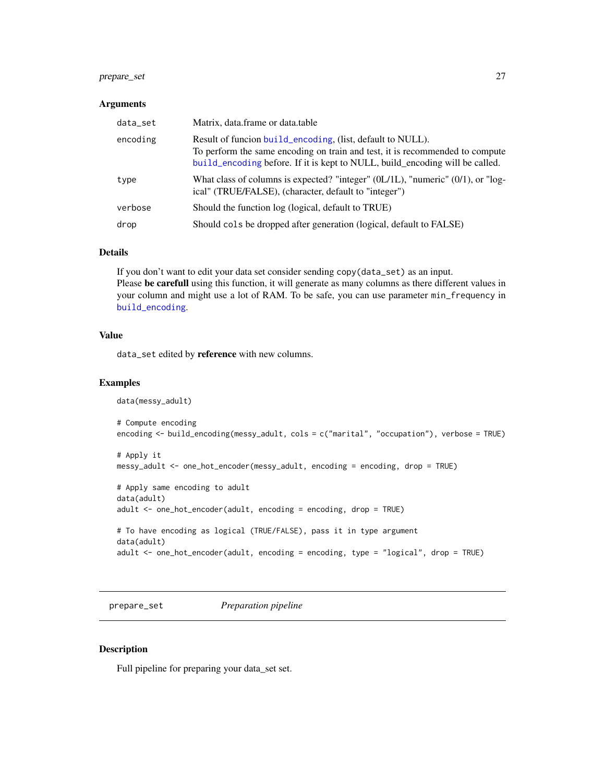# <span id="page-26-0"></span>prepare\_set 27

#### **Arguments**

| data_set | Matrix, data.frame or data.table                                                                                                                                                                                           |
|----------|----------------------------------------------------------------------------------------------------------------------------------------------------------------------------------------------------------------------------|
| encoding | Result of funcion build encoding, (list, default to NULL).<br>To perform the same encoding on train and test, it is recommended to compute<br>build_encoding before. If it is kept to NULL, build_encoding will be called. |
| type     | What class of columns is expected? "integer" (0L/1L), "numeric" (0/1), or "log-<br>ical" (TRUE/FALSE), (character, default to "integer")                                                                                   |
| verbose  | Should the function log (logical, default to TRUE)                                                                                                                                                                         |
| drop     | Should cols be dropped after generation (logical, default to FALSE)                                                                                                                                                        |

#### Details

If you don't want to edit your data set consider sending copy(data\_set) as an input. Please be carefull using this function, it will generate as many columns as there different values in your column and might use a lot of RAM. To be safe, you can use parameter min\_frequency in [build\\_encoding](#page-6-1).

#### Value

data\_set edited by reference with new columns.

#### Examples

```
data(messy_adult)
# Compute encoding
encoding <- build_encoding(messy_adult, cols = c("marital", "occupation"), verbose = TRUE)
# Apply it
messy_adult <- one_hot_encoder(messy_adult, encoding = encoding, drop = TRUE)
# Apply same encoding to adult
data(adult)
adult <- one_hot_encoder(adult, encoding = encoding, drop = TRUE)
# To have encoding as logical (TRUE/FALSE), pass it in type argument
data(adult)
adult <- one_hot_encoder(adult, encoding = encoding, type = "logical", drop = TRUE)
```
prepare\_set *Preparation pipeline*

#### Description

Full pipeline for preparing your data\_set set.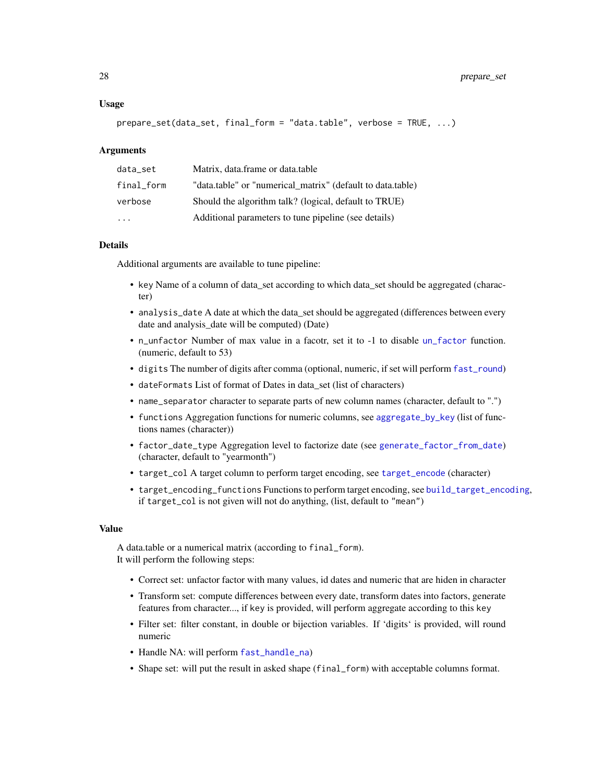#### <span id="page-27-0"></span>Usage

```
prepare_set(data_set, final_form = "data.table", verbose = TRUE, ...)
```
#### Arguments

| data_set   | Matrix, data.frame or data.table                           |
|------------|------------------------------------------------------------|
| final form | "data.table" or "numerical matrix" (default to data.table) |
| verbose    | Should the algorithm talk? (logical, default to TRUE)      |
| .          | Additional parameters to tune pipeline (see details)       |

#### Details

Additional arguments are available to tune pipeline:

- key Name of a column of data\_set according to which data\_set should be aggregated (character)
- analysis\_date A date at which the data set should be aggregated (differences between every date and analysis\_date will be computed) (Date)
- n\_unfactor Number of max value in a facotr, set it to -1 to disable [un\\_factor](#page-39-1) function. (numeric, default to 53)
- digits The number of digits after comma (optional, numeric, if set will perform [fast\\_round](#page-14-1))
- dateFormats List of format of Dates in data\_set (list of characters)
- name\_separator character to separate parts of new column names (character, default to ".")
- functions Aggregation functions for numeric columns, see [aggregate\\_by\\_key](#page-2-1) (list of functions names (character))
- factor\_date\_type Aggregation level to factorize date (see [generate\\_factor\\_from\\_date](#page-20-1)) (character, default to "yearmonth")
- target\_col A target column to perform target encoding, see [target\\_encode](#page-38-1) (character)
- target\_encoding\_functions Functions to perform target encoding, see [build\\_target\\_encoding](#page-7-2), if target\_col is not given will not do anything, (list, default to "mean")

#### Value

A data.table or a numerical matrix (according to final\_form). It will perform the following steps:

- Correct set: unfactor factor with many values, id dates and numeric that are hiden in character
- Transform set: compute differences between every date, transform dates into factors, generate features from character..., if key is provided, will perform aggregate according to this key
- Filter set: filter constant, in double or bijection variables. If 'digits' is provided, will round numeric
- Handle NA: will perform [fast\\_handle\\_na](#page-12-1))
- Shape set: will put the result in asked shape (final\_form) with acceptable columns format.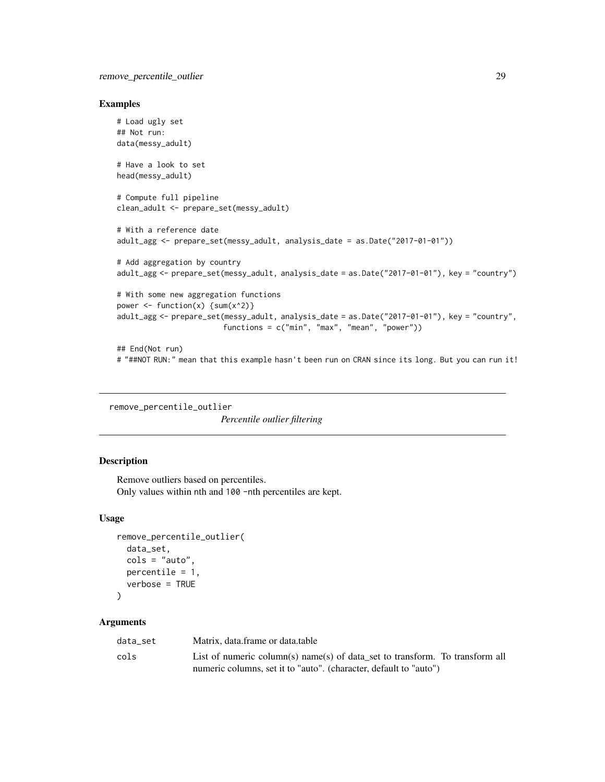#### <span id="page-28-0"></span>Examples

```
# Load ugly set
## Not run:
data(messy_adult)
# Have a look to set
head(messy_adult)
# Compute full pipeline
clean_adult <- prepare_set(messy_adult)
# With a reference date
adult_agg <- prepare_set(messy_adult, analysis_date = as.Date("2017-01-01"))
# Add aggregation by country
adult_agg <- prepare_set(messy_adult, analysis_date = as.Date("2017-01-01"), key = "country")
# With some new aggregation functions
power \leq function(x) {sum(x^2)}
adult_agg <- prepare_set(messy_adult, analysis_date = as.Date("2017-01-01"), key = "country",
                        functions = c("min", "max", "mean", "power"))
## End(Not run)
# "##NOT RUN:" mean that this example hasn't been run on CRAN since its long. But you can run it!
```
remove\_percentile\_outlier

*Percentile outlier filtering*

# Description

Remove outliers based on percentiles. Only values within nth and 100 -nth percentiles are kept.

#### Usage

```
remove_percentile_outlier(
 data_set,
 cols = "auto",percentile = 1,
  verbose = TRUE
\lambda
```
#### Arguments

| data set | Matrix, data, frame or data, table                                           |
|----------|------------------------------------------------------------------------------|
| cols     | List of numeric column(s) name(s) of data set to transform. To transform all |
|          | numeric columns, set it to "auto". (character, default to "auto")            |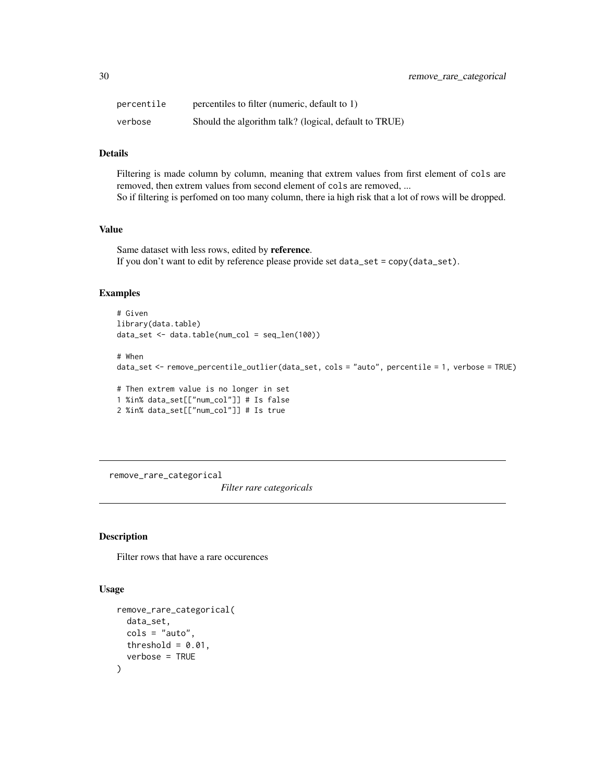<span id="page-29-0"></span>

| percentile | percentiles to filter (numeric, default to 1)         |
|------------|-------------------------------------------------------|
| verbose    | Should the algorithm talk? (logical, default to TRUE) |

# Details

Filtering is made column by column, meaning that extrem values from first element of cols are removed, then extrem values from second element of cols are removed, ... So if filtering is perfomed on too many column, there ia high risk that a lot of rows will be dropped.

#### Value

Same dataset with less rows, edited by reference. If you don't want to edit by reference please provide set data\_set = copy(data\_set).

#### Examples

```
# Given
library(data.table)
data_set <- data.table(num_col = seq_len(100))
# When
data_set <- remove_percentile_outlier(data_set, cols = "auto", percentile = 1, verbose = TRUE)
```

```
# Then extrem value is no longer in set
1 %in% data_set[["num_col"]] # Is false
2 %in% data_set[["num_col"]] # Is true
```
remove\_rare\_categorical

*Filter rare categoricals*

#### Description

Filter rows that have a rare occurences

```
remove_rare_categorical(
  data_set,
  \text{cols} = \text{"auto",}threshold = 0.01,
  verbose = TRUE
)
```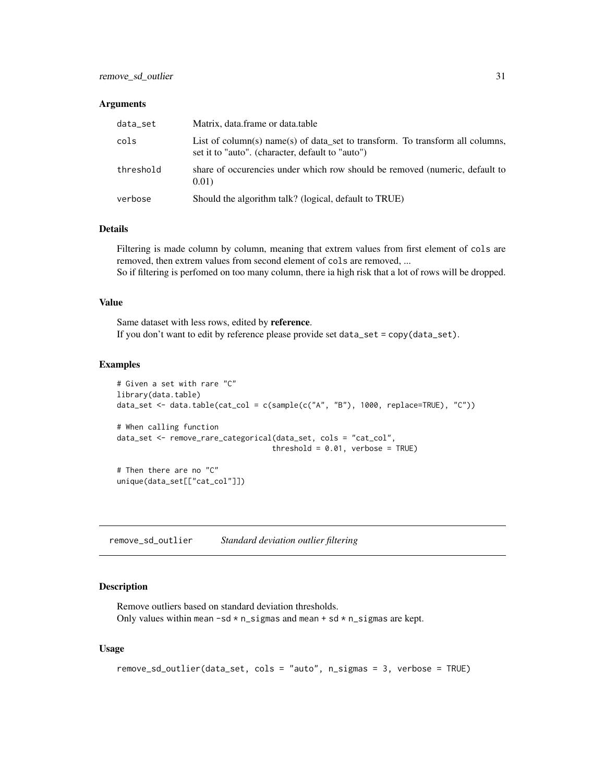#### <span id="page-30-0"></span>**Arguments**

| data_set  | Matrix, data.frame or data.table                                                                                                  |
|-----------|-----------------------------------------------------------------------------------------------------------------------------------|
| cols      | List of column(s) name(s) of data set to transform. To transform all columns,<br>set it to "auto". (character, default to "auto") |
| threshold | share of occurencies under which row should be removed (numeric, default to<br>0.01)                                              |
| verbose   | Should the algorithm talk? (logical, default to TRUE)                                                                             |

#### Details

Filtering is made column by column, meaning that extrem values from first element of cols are removed, then extrem values from second element of cols are removed, ...

So if filtering is perfomed on too many column, there ia high risk that a lot of rows will be dropped.

#### Value

Same dataset with less rows, edited by reference. If you don't want to edit by reference please provide set data\_set = copy(data\_set).

# Examples

```
# Given a set with rare "C"
library(data.table)
data_set <- data.table(cat_col = c(sample(c("A", "B"), 1000, replace=TRUE), "C"))
# When calling function
data_set <- remove_rare_categorical(data_set, cols = "cat_col",
                                   threshold = 0.01, verbose = TRUE)
# Then there are no "C"
unique(data_set[["cat_col"]])
```
remove\_sd\_outlier *Standard deviation outlier filtering*

# Description

Remove outliers based on standard deviation thresholds. Only values within mean  $-sd * n$ \_sigmas and mean + sd  $* n$ \_sigmas are kept.

```
remove_sd_outlier(data_set, cols = "auto", n_sigmas = 3, verbose = TRUE)
```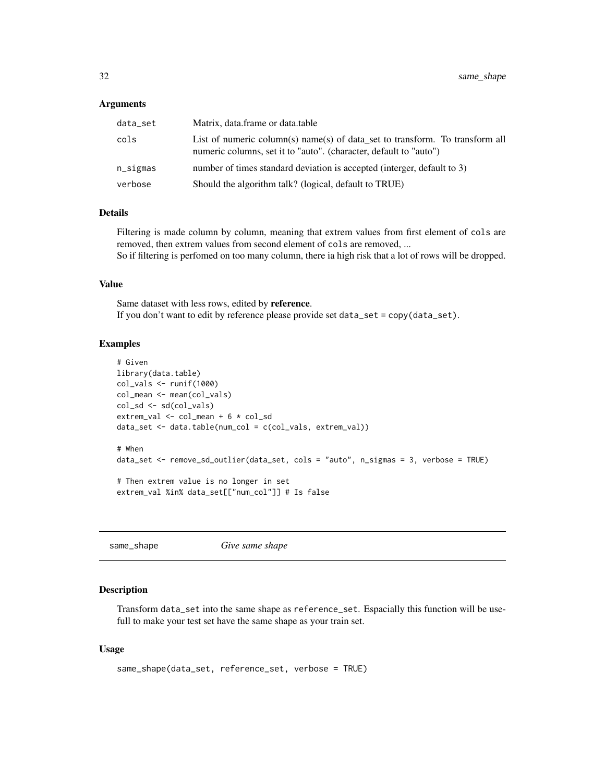#### <span id="page-31-0"></span>Arguments

| data_set | Matrix, data.frame or data.table                                                                                                                  |
|----------|---------------------------------------------------------------------------------------------------------------------------------------------------|
| cols     | List of numeric column(s) name(s) of data set to transform. To transform all<br>numeric columns, set it to "auto". (character, default to "auto") |
| n_sigmas | number of times standard deviation is accepted (interger, default to 3)                                                                           |
| verbose  | Should the algorithm talk? (logical, default to TRUE)                                                                                             |

# Details

Filtering is made column by column, meaning that extrem values from first element of cols are removed, then extrem values from second element of cols are removed, ... So if filtering is perfomed on too many column, there ia high risk that a lot of rows will be dropped.

#### Value

Same dataset with less rows, edited by reference. If you don't want to edit by reference please provide set data\_set = copy(data\_set).

#### Examples

```
# Given
library(data.table)
col_vals <- runif(1000)
col_mean <- mean(col_vals)
col_sd <- sd(col_vals)
extrem_val <- col_mean + 6 * col_sd
data_set <- data.table(num_col = c(col_vals, extrem_val))
# When
data_set <- remove_sd_outlier(data_set, cols = "auto", n_sigmas = 3, verbose = TRUE)
# Then extrem value is no longer in set
extrem_val %in% data_set[["num_col"]] # Is false
```
same\_shape *Give same shape*

# Description

Transform data\_set into the same shape as reference\_set. Espacially this function will be usefull to make your test set have the same shape as your train set.

```
same_shape(data_set, reference_set, verbose = TRUE)
```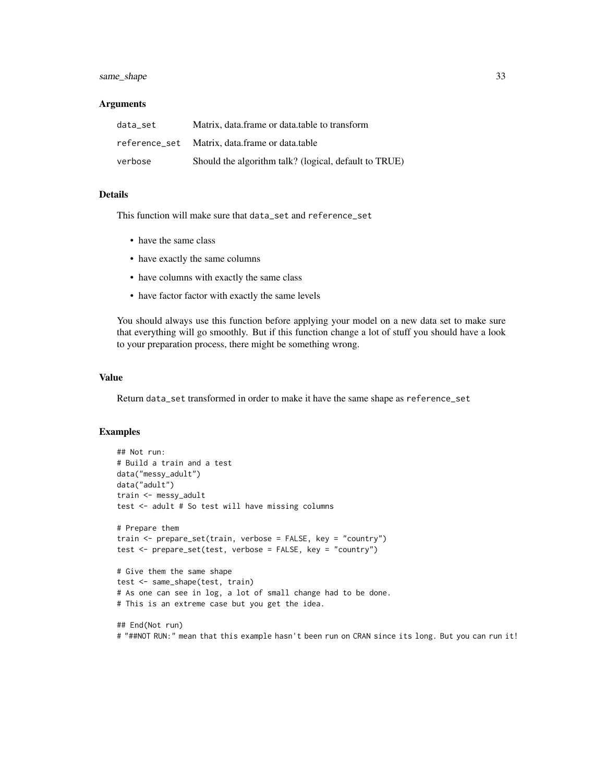# same\_shape 33

#### **Arguments**

| data set      | Matrix, data frame or data table to transform         |
|---------------|-------------------------------------------------------|
| reference set | Matrix, data.frame or data.table                      |
| verbose       | Should the algorithm talk? (logical, default to TRUE) |

#### Details

This function will make sure that data\_set and reference\_set

- have the same class
- have exactly the same columns
- have columns with exactly the same class
- have factor factor with exactly the same levels

You should always use this function before applying your model on a new data set to make sure that everything will go smoothly. But if this function change a lot of stuff you should have a look to your preparation process, there might be something wrong.

#### Value

Return data\_set transformed in order to make it have the same shape as reference\_set

#### Examples

```
## Not run:
# Build a train and a test
data("messy_adult")
data("adult")
train <- messy_adult
test <- adult # So test will have missing columns
# Prepare them
train <- prepare_set(train, verbose = FALSE, key = "country")
test <- prepare_set(test, verbose = FALSE, key = "country")
# Give them the same shape
test <- same_shape(test, train)
# As one can see in log, a lot of small change had to be done.
# This is an extreme case but you get the idea.
```
## End(Not run) # "##NOT RUN:" mean that this example hasn't been run on CRAN since its long. But you can run it!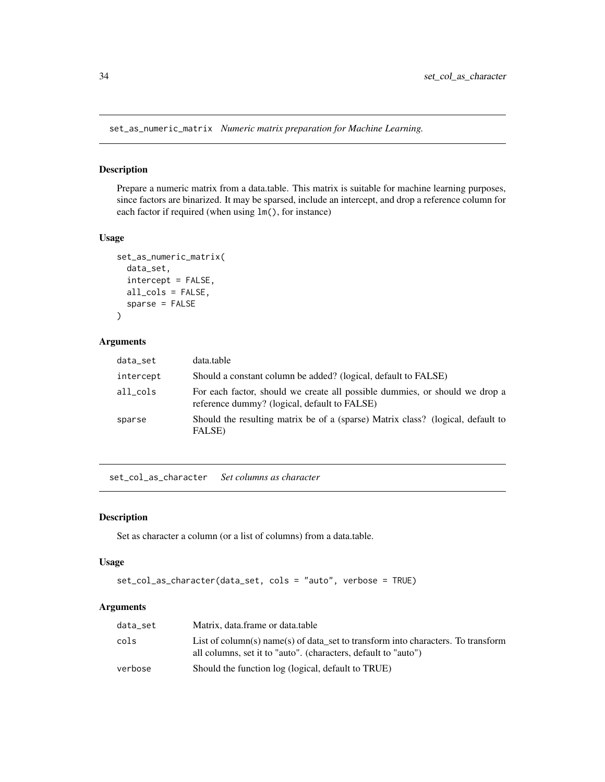<span id="page-33-1"></span><span id="page-33-0"></span>set\_as\_numeric\_matrix *Numeric matrix preparation for Machine Learning.*

# Description

Prepare a numeric matrix from a data.table. This matrix is suitable for machine learning purposes, since factors are binarized. It may be sparsed, include an intercept, and drop a reference column for each factor if required (when using lm(), for instance)

# Usage

```
set_as_numeric_matrix(
  data_set,
  intercept = FALSE,
  all_cols = FALSE,
  sparse = FALSE
)
```
# Arguments

| data_set  | data.table                                                                                                                  |
|-----------|-----------------------------------------------------------------------------------------------------------------------------|
| intercept | Should a constant column be added? (logical, default to FALSE)                                                              |
| all cols  | For each factor, should we create all possible dummies, or should we drop a<br>reference dummy? (logical, default to FALSE) |
| sparse    | Should the resulting matrix be of a (sparse) Matrix class? (logical, default to<br>FALSE)                                   |

set\_col\_as\_character *Set columns as character*

# Description

Set as character a column (or a list of columns) from a data.table.

#### Usage

```
set_col_as_character(data_set, cols = "auto", verbose = TRUE)
```
#### Arguments

| data_set | Matrix, data.frame or data.table                                                                                                                   |
|----------|----------------------------------------------------------------------------------------------------------------------------------------------------|
| cols     | List of column(s) name(s) of data set to transform into characters. To transform<br>all columns, set it to "auto". (characters, default to "auto") |
| verbose  | Should the function log (logical, default to TRUE)                                                                                                 |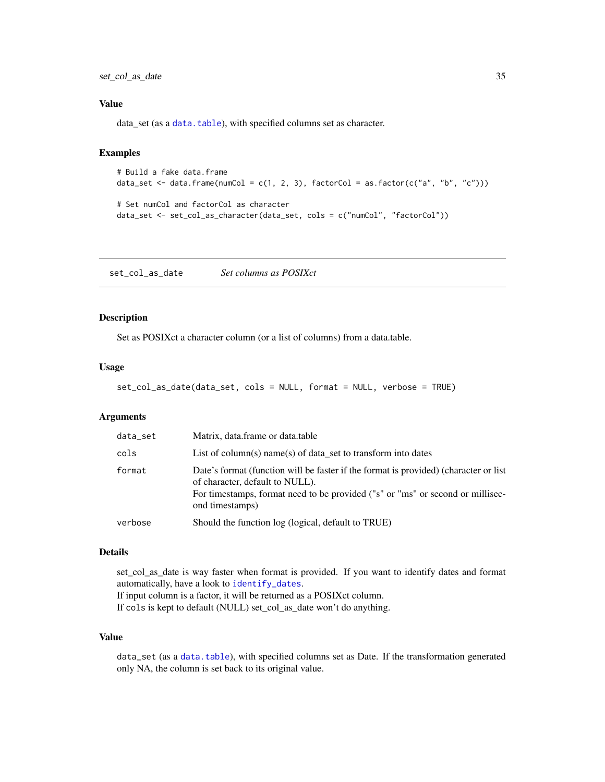<span id="page-34-0"></span>set\_col\_as\_date 35

#### Value

data\_set (as a [data.table](#page-0-0)), with specified columns set as character.

# Examples

```
# Build a fake data.frame
data_set <- data.frame(numCol = c(1, 2, 3), factorCol = as.factor(c("a", "b", "c")))
# Set numCol and factorCol as character
```

```
data_set <- set_col_as_character(data_set, cols = c("numCol", "factorCol"))
```
<span id="page-34-1"></span>set\_col\_as\_date *Set columns as POSIXct*

#### Description

Set as POSIXct a character column (or a list of columns) from a data.table.

#### Usage

```
set_col_as_date(data_set, cols = NULL, format = NULL, verbose = TRUE)
```
#### Arguments

| data_set | Matrix, data.frame or data.table                                                                                                                                                                                             |
|----------|------------------------------------------------------------------------------------------------------------------------------------------------------------------------------------------------------------------------------|
| cols     | List of column(s) name(s) of data set to transform into dates                                                                                                                                                                |
| format   | Date's format (function will be faster if the format is provided) (character or list<br>of character, default to NULL).<br>For timestamps, format need to be provided ("s" or "ms" or second or millisec-<br>ond timestamps) |
| verbose  | Should the function log (logical, default to TRUE)                                                                                                                                                                           |

#### Details

set\_col\_as\_date is way faster when format is provided. If you want to identify dates and format automatically, have a look to [identify\\_dates](#page-23-1). If input column is a factor, it will be returned as a POSIXct column. If cols is kept to default (NULL) set\_col\_as\_date won't do anything.

# Value

data\_set (as a [data.table](#page-0-0)), with specified columns set as Date. If the transformation generated only NA, the column is set back to its original value.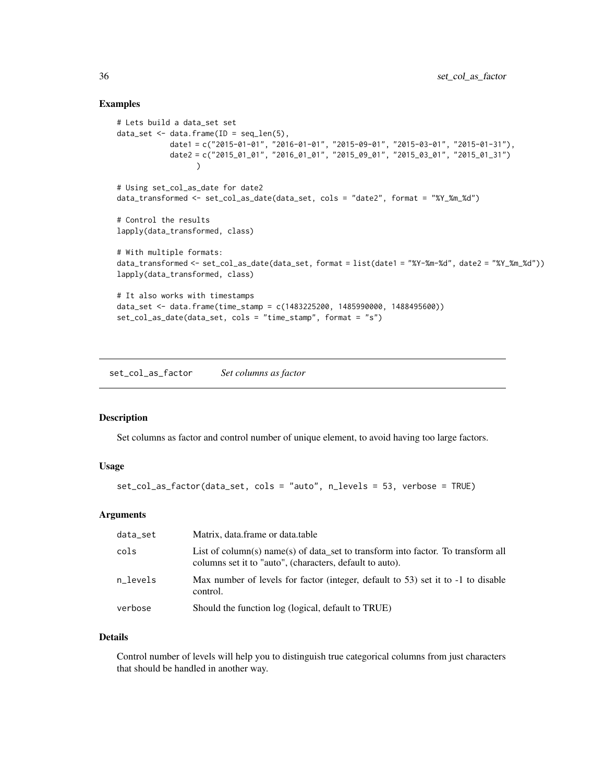### Examples

```
# Lets build a data_set set
data_set \leq data.frame(ID = seq_len(5),
            date1 = c("2015-01-01", "2016-01-01", "2015-09-01", "2015-03-01", "2015-01-31"),
            date2 = c("2015_01_01", "2016_01_01", "2015_09_01", "2015_03_01", "2015_01_31"))
# Using set_col_as_date for date2
data_transformed <- set_col_as_date(data_set, cols = "date2", format = "%Y_%m_%d")
# Control the results
lapply(data_transformed, class)
# With multiple formats:
data_transformed <- set_col_as_date(data_set, format = list(date1 = "%Y-%m-%d", date2 = "%Y_%m_%d"))
lapply(data_transformed, class)
# It also works with timestamps
data_set <- data.frame(time_stamp = c(1483225200, 1485990000, 1488495600))
set_col_as_date(data_set, cols = "time_stamp", format = "s")
```
set\_col\_as\_factor *Set columns as factor*

# Description

Set columns as factor and control number of unique element, to avoid having too large factors.

# Usage

```
set_col_as_factor(data_set, cols = "auto", n_levels = 53, verbose = TRUE)
```
# Arguments

| data_set | Matrix, data.frame or data.table                                                                                                             |
|----------|----------------------------------------------------------------------------------------------------------------------------------------------|
| cols     | List of column(s) name(s) of data set to transform into factor. To transform all<br>columns set it to "auto", (characters, default to auto). |
| n levels | Max number of levels for factor (integer, default to 53) set it to -1 to disable<br>control.                                                 |
| verbose  | Should the function log (logical, default to TRUE)                                                                                           |

# Details

Control number of levels will help you to distinguish true categorical columns from just characters that should be handled in another way.

<span id="page-35-0"></span>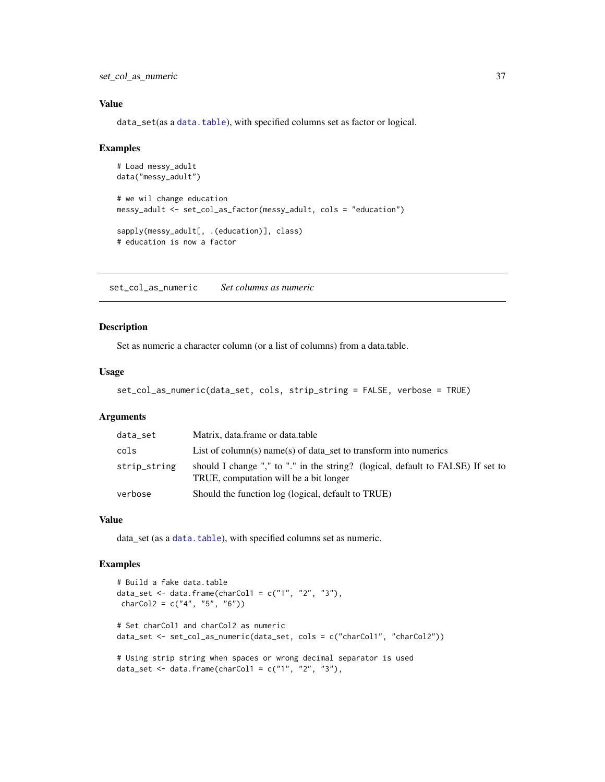<span id="page-36-0"></span>set\_col\_as\_numeric 37

#### Value

data\_set(as a [data.table](#page-0-0)), with specified columns set as factor or logical.

#### Examples

```
# Load messy_adult
data("messy_adult")
# we wil change education
messy_adult <- set_col_as_factor(messy_adult, cols = "education")
sapply(messy_adult[, .(education)], class)
# education is now a factor
```
set\_col\_as\_numeric *Set columns as numeric*

# Description

Set as numeric a character column (or a list of columns) from a data.table.

#### Usage

```
set_col_as_numeric(data_set, cols, strip_string = FALSE, verbose = TRUE)
```
# Arguments

| data_set     | Matrix, data.frame or data.table                                                                                          |
|--------------|---------------------------------------------------------------------------------------------------------------------------|
| cols         | List of column(s) name(s) of data set to transform into numerics                                                          |
| strip_string | should I change "," to "." in the string? (logical, default to FALSE) If set to<br>TRUE, computation will be a bit longer |
| verbose      | Should the function log (logical, default to TRUE)                                                                        |

#### Value

data\_set (as a [data.table](#page-0-0)), with specified columns set as numeric.

```
# Build a fake data.table
data_set <- data.frame(charCol1 = c("1", "2", "3"),charCol2 = c("4", "5", "6")# Set charCol1 and charCol2 as numeric
data_set <- set_col_as_numeric(data_set, cols = c("charCol1", "charCol2"))
# Using strip string when spaces or wrong decimal separator is used
data_set <- data.frame(charCol1 = c("1", "2", "3"),
```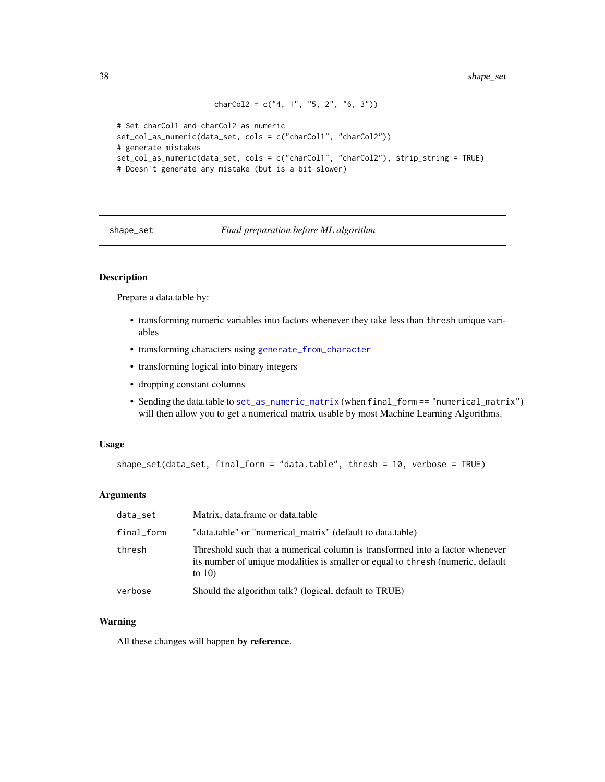```
charCol2 = c("4, 1", "5, 2", "6, 3")# Set charCol1 and charCol2 as numeric
set_col_as_numeric(data_set, cols = c("charCol1", "charCol2"))
# generate mistakes
```

```
set_col_as_numeric(data_set, cols = c("charCol1", "charCol2"), strip_string = TRUE)
# Doesn't generate any mistake (but is a bit slower)
```
shape\_set *Final preparation before ML algorithm*

# Description

Prepare a data.table by:

- transforming numeric variables into factors whenever they take less than thresh unique variables
- transforming characters using [generate\\_from\\_character](#page-21-1)
- transforming logical into binary integers
- dropping constant columns
- Sending the data.table to [set\\_as\\_numeric\\_matrix](#page-33-1) (when final\_form == "numerical\_matrix") will then allow you to get a numerical matrix usable by most Machine Learning Algorithms.

#### Usage

```
shape_set(data_set, final_form = "data.table", thresh = 10, verbose = TRUE)
```
#### Arguments

| data_set   | Matrix, data.frame or data.table                                                                                                                                             |
|------------|------------------------------------------------------------------------------------------------------------------------------------------------------------------------------|
| final_form | "data.table" or "numerical_matrix" (default to data.table)                                                                                                                   |
| thresh     | Threshold such that a numerical column is transformed into a factor whenever<br>its number of unique modalities is smaller or equal to thresh (numeric, default<br>to $10$ ) |
| verbose    | Should the algorithm talk? (logical, default to TRUE)                                                                                                                        |

#### Warning

All these changes will happen by reference.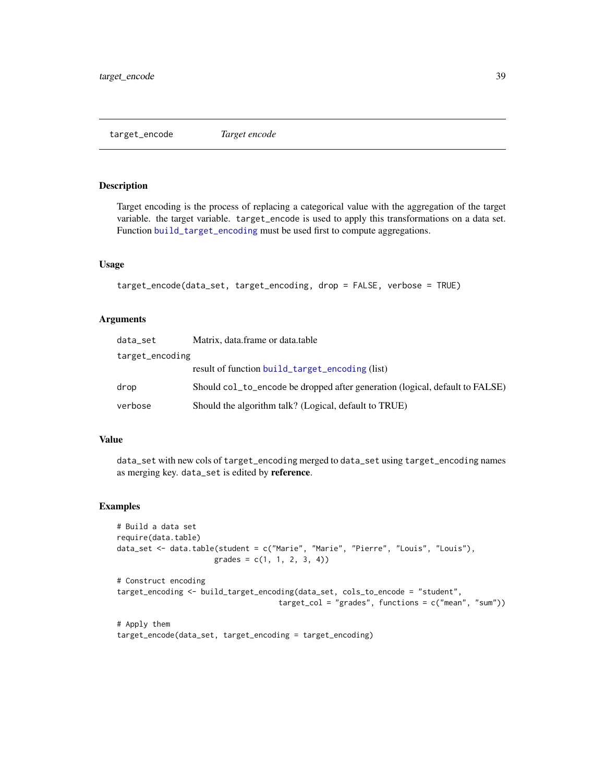<span id="page-38-1"></span><span id="page-38-0"></span>target\_encode *Target encode*

#### Description

Target encoding is the process of replacing a categorical value with the aggregation of the target variable. the target variable. target\_encode is used to apply this transformations on a data set. Function [build\\_target\\_encoding](#page-7-2) must be used first to compute aggregations.

#### Usage

```
target_encode(data_set, target_encoding, drop = FALSE, verbose = TRUE)
```
#### Arguments

| data_set        | Matrix, data.frame or data.table                                             |  |
|-----------------|------------------------------------------------------------------------------|--|
| target_encoding |                                                                              |  |
|                 | result of function build_target_encoding (list)                              |  |
| drop            | Should col to encode be dropped after generation (logical, default to FALSE) |  |
| verbose         | Should the algorithm talk? (Logical, default to TRUE)                        |  |

### Value

data\_set with new cols of target\_encoding merged to data\_set using target\_encoding names as merging key. data\_set is edited by reference.

```
# Build a data set
require(data.table)
data_set <- data.table(student = c("Marie", "Marie", "Pierre", "Louis", "Louis"),
                     grades = c(1, 1, 2, 3, 4)# Construct encoding
target_encoding <- build_target_encoding(data_set, cols_to_encode = "student",
                                    target_col = "grades", functions = c("mean", "sum"))
```

```
# Apply them
target_encode(data_set, target_encoding = target_encoding)
```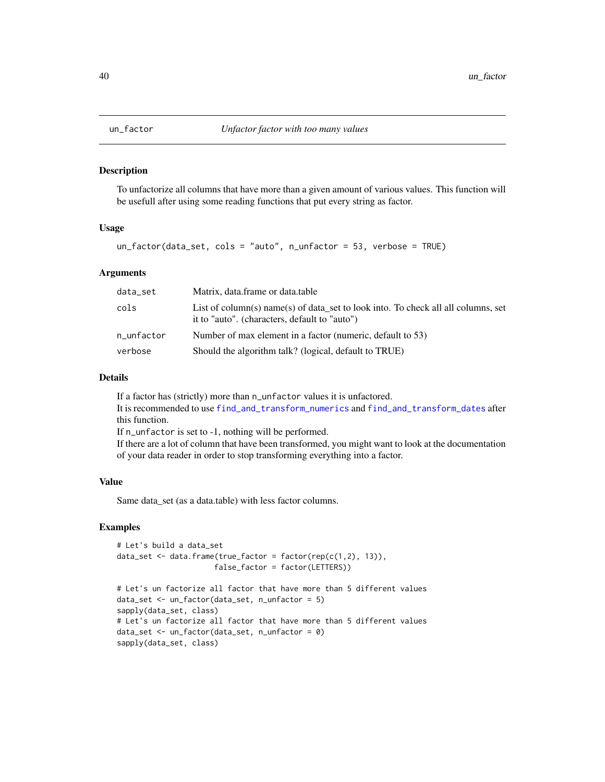#### **Description**

To unfactorize all columns that have more than a given amount of various values. This function will be usefull after using some reading functions that put every string as factor.

# Usage

```
un_factor(data_set, cols = "auto", n_unfactor = 53, verbose = TRUE)
```
#### Arguments

| data_set   | Matrix, data.frame or data.table                                                                                                   |
|------------|------------------------------------------------------------------------------------------------------------------------------------|
| cols       | List of column(s) name(s) of data set to look into. To check all all columns, set<br>it to "auto". (characters, default to "auto") |
| n_unfactor | Number of max element in a factor (numeric, default to 53)                                                                         |
| verbose    | Should the algorithm talk? (logical, default to TRUE)                                                                              |

#### Details

If a factor has (strictly) more than n\_unfactor values it is unfactored. It is recommended to use [find\\_and\\_transform\\_numerics](#page-18-1) and [find\\_and\\_transform\\_dates](#page-16-1) after this function. If n\_unfactor is set to -1, nothing will be performed. If there are a lot of column that have been transformed, you might want to look at the documentation of your data reader in order to stop transforming everything into a factor.

#### Value

Same data\_set (as a data.table) with less factor columns.

```
# Let's build a data_set
data_set <- data.frame(true_factor = factor(rep(c(1,2), 13)),
                      false_factor = factor(LETTERS))
```

```
# Let's un factorize all factor that have more than 5 different values
data_set <- un_factor(data_set, n_unfactor = 5)
sapply(data_set, class)
# Let's un factorize all factor that have more than 5 different values
data_set <- un_factor(data_set, n_unfactor = 0)
sapply(data_set, class)
```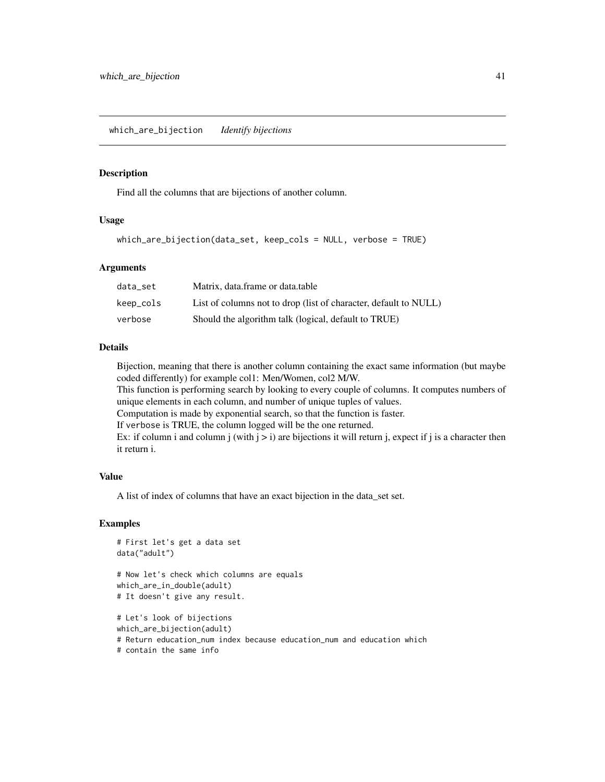# <span id="page-40-0"></span>Description

Find all the columns that are bijections of another column.

#### Usage

```
which_are_bijection(data_set, keep_cols = NULL, verbose = TRUE)
```
#### **Arguments**

| data set  | Matrix, data, frame or data, table                               |
|-----------|------------------------------------------------------------------|
| keep_cols | List of columns not to drop (list of character, default to NULL) |
| verbose   | Should the algorithm talk (logical, default to TRUE)             |

# Details

Bijection, meaning that there is another column containing the exact same information (but maybe coded differently) for example col1: Men/Women, col2 M/W.

This function is performing search by looking to every couple of columns. It computes numbers of unique elements in each column, and number of unique tuples of values.

Computation is made by exponential search, so that the function is faster.

If verbose is TRUE, the column logged will be the one returned.

Ex: if column i and column j (with  $j > i$ ) are bijections it will return j, expect if j is a character then it return i.

#### Value

A list of index of columns that have an exact bijection in the data\_set set.

```
# First let's get a data set
data("adult")
# Now let's check which columns are equals
which_are_in_double(adult)
# It doesn't give any result.
# Let's look of bijections
which_are_bijection(adult)
# Return education_num index because education_num and education which
# contain the same info
```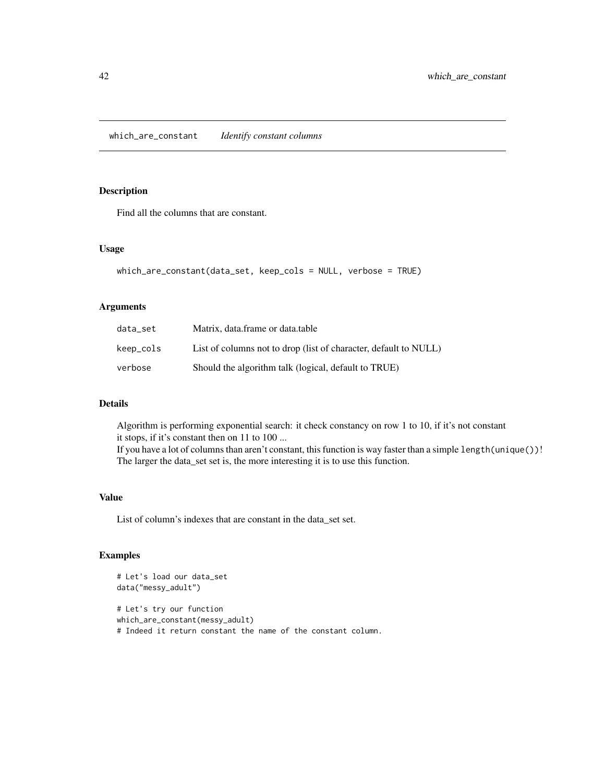<span id="page-41-0"></span>which\_are\_constant *Identify constant columns*

# Description

Find all the columns that are constant.

# Usage

```
which_are_constant(data_set, keep_cols = NULL, verbose = TRUE)
```
#### Arguments

| data set  | Matrix, data.frame or data.table                                 |
|-----------|------------------------------------------------------------------|
| keep_cols | List of columns not to drop (list of character, default to NULL) |
| verbose   | Should the algorithm talk (logical, default to TRUE)             |

#### Details

Algorithm is performing exponential search: it check constancy on row 1 to 10, if it's not constant it stops, if it's constant then on 11 to 100 ... If you have a lot of columns than aren't constant, this function is way faster than a simple length(unique())! The larger the data\_set set is, the more interesting it is to use this function.

#### Value

List of column's indexes that are constant in the data\_set set.

```
# Let's load our data_set
data("messy_adult")
# Let's try our function
which_are_constant(messy_adult)
# Indeed it return constant the name of the constant column.
```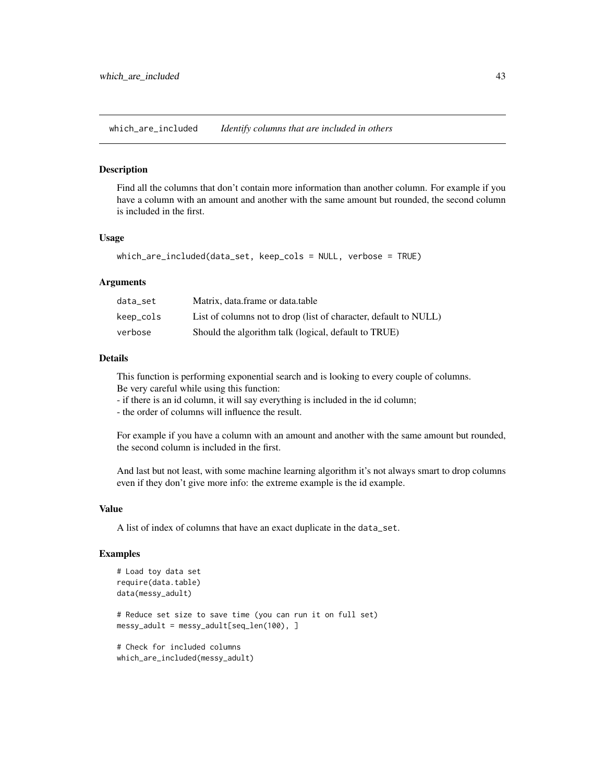<span id="page-42-0"></span>which\_are\_included *Identify columns that are included in others*

#### **Description**

Find all the columns that don't contain more information than another column. For example if you have a column with an amount and another with the same amount but rounded, the second column is included in the first.

#### Usage

```
which_are_included(data_set, keep_cols = NULL, verbose = TRUE)
```
#### Arguments

| data set  | Matrix, data, frame or data, table                               |
|-----------|------------------------------------------------------------------|
| keep_cols | List of columns not to drop (list of character, default to NULL) |
| verbose   | Should the algorithm talk (logical, default to TRUE)             |

# Details

This function is performing exponential search and is looking to every couple of columns. Be very careful while using this function:

- if there is an id column, it will say everything is included in the id column;

- the order of columns will influence the result.

For example if you have a column with an amount and another with the same amount but rounded, the second column is included in the first.

And last but not least, with some machine learning algorithm it's not always smart to drop columns even if they don't give more info: the extreme example is the id example.

#### Value

A list of index of columns that have an exact duplicate in the data\_set.

```
# Load toy data set
require(data.table)
data(messy_adult)
# Reduce set size to save time (you can run it on full set)
messy_adult = messy_adult[seq_len(100), ]
# Check for included columns
which_are_included(messy_adult)
```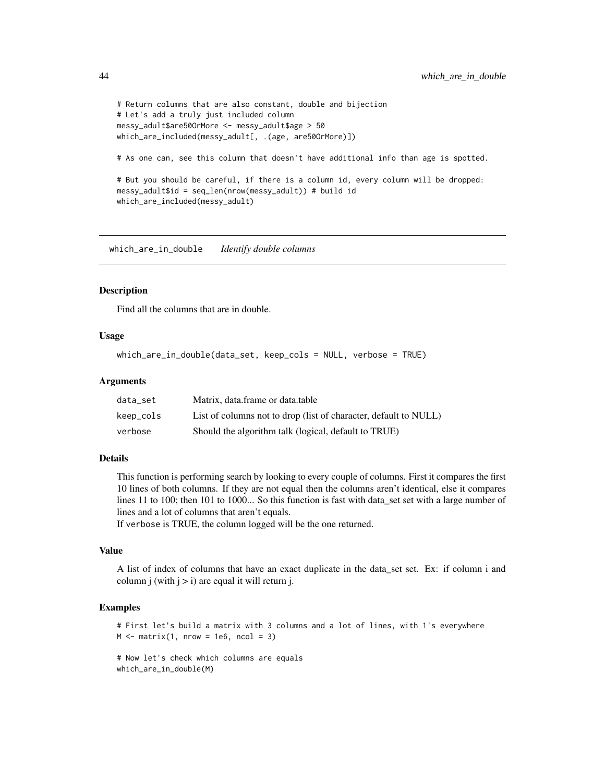```
# Return columns that are also constant, double and bijection
# Let's add a truly just included column
messy_adult$are50OrMore <- messy_adult$age > 50
which_are_included(messy_adult[, .(age, are50OrMore)])
# As one can, see this column that doesn't have additional info than age is spotted.
# But you should be careful, if there is a column id, every column will be dropped:
messy_adult$id = seq_len(nrow(messy_adult)) # build id
which_are_included(messy_adult)
```
which\_are\_in\_double *Identify double columns*

#### Description

Find all the columns that are in double.

#### Usage

```
which_are_in_double(data_set, keep_cols = NULL, verbose = TRUE)
```
#### Arguments

| data set  | Matrix, data.frame or data.table                                 |
|-----------|------------------------------------------------------------------|
| keep_cols | List of columns not to drop (list of character, default to NULL) |
| verbose   | Should the algorithm talk (logical, default to TRUE)             |

#### Details

This function is performing search by looking to every couple of columns. First it compares the first 10 lines of both columns. If they are not equal then the columns aren't identical, else it compares lines 11 to 100; then 101 to 1000... So this function is fast with data\_set set with a large number of lines and a lot of columns that aren't equals.

If verbose is TRUE, the column logged will be the one returned.

# Value

A list of index of columns that have an exact duplicate in the data\_set set. Ex: if column i and column j (with  $j > i$ ) are equal it will return j.

```
# First let's build a matrix with 3 columns and a lot of lines, with 1's everywhere
M \leq - matrix(1, nrow = 1e6, ncol = 3)
```

```
# Now let's check which columns are equals
which_are_in_double(M)
```
<span id="page-43-0"></span>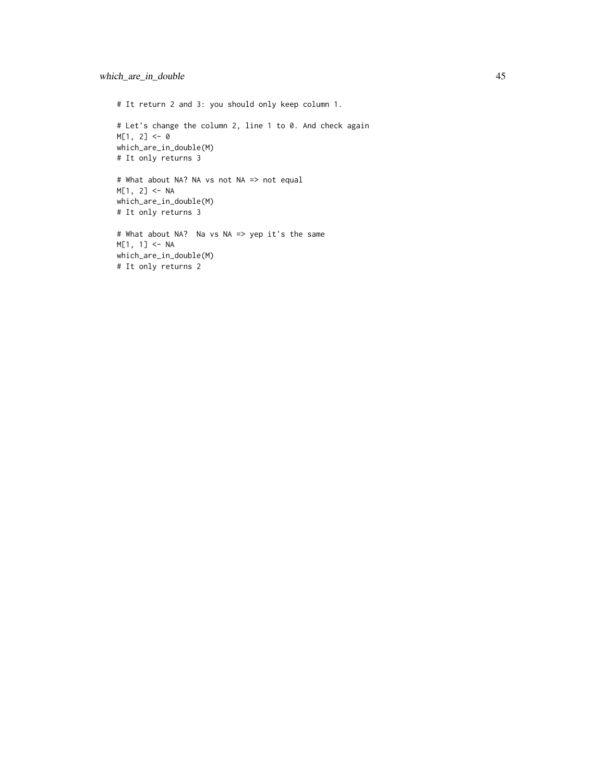# It return 2 and 3: you should only keep column 1. # Let's change the column 2, line 1 to 0. And check again M[1, 2] <- 0 which\_are\_in\_double(M) # It only returns 3 # What about NA? NA vs not NA => not equal  $M[1, 2]$  <- NA which\_are\_in\_double(M) # It only returns 3 # What about NA? Na vs NA => yep it's the same M[1, 1] <- NA which\_are\_in\_double(M) # It only returns 2